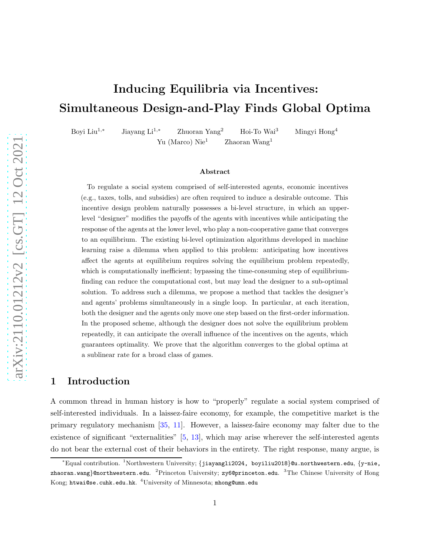# Inducing Equilibria via Incentives: Simultaneous Design-and-Play Finds Global Optima

Boyi Liu1,<sup>∗</sup> Jiayang Li1,<sup>∗</sup> Zhuoran Yang<sup>2</sup> Hoi-To Wai<sup>3</sup> Mingyi Hong<sup>4</sup> Yu (Marco)  $\text{Nie}^1$  Zhaoran Wang<sup>1</sup>

#### Abstract

To regulate a social system comprised of self-interested agents, economic incentives (e.g., taxes, tolls, and subsidies) are often required to induce a desirable outcome. This incentive design problem naturally possesses a bi-level structure, in which an upperlevel "designer" modifies the payoffs of the agents with incentives while anticipating the response of the agents at the lower level, who play a non-cooperative game that converges to an equilibrium. The existing bi-level optimization algorithms developed in machine learning raise a dilemma when applied to this problem: anticipating how incentives affect the agents at equilibrium requires solving the equilibrium problem repeatedly, which is computationally inefficient; by passing the time-consuming step of equilibriumfinding can reduce the computational cost, but may lead the designer to a sub-optimal solution. To address such a dilemma, we propose a method that tackles the designer's and agents' problems simultaneously in a single loop. In particular, at each iteration, both the designer and the agents only move one step based on the first-order information. In the proposed scheme, although the designer does not solve the equilibrium problem repeatedly, it can anticipate the overall influence of the incentives on the agents, which guarantees optimality. We prove that the algorithm converges to the global optima at a sublinear rate for a broad class of games.

### 1 Introduction

A common thread in human history is how to "properly" regulate a social system comprised of self-interested individuals. In a laissez-faire economy, for example, the competitive market is the primary regulatory mechanism [\[35](#page-13-0), [11\]](#page-12-0). However, a laissez-faire economy may falter due to the existence of significant "externalities" [\[5](#page-12-1), [13](#page-12-2)], which may arise wherever the self-interested agents do not bear the external cost of their behaviors in the entirety. The right response, many argue, is

<sup>∗</sup>Equal contribution. <sup>1</sup>Northwestern University; {jiayangli2024, boyiliu2018}@u.northwestern.edu, {y-nie, zhaoran.wang}@northwestern.edu. <sup>2</sup>Princeton University; zy6@princeton.edu. <sup>3</sup>The Chinese University of Hong Kong; <code>htwai@se.cuhk.edu.hk</code>.  $^4 \rm University$  of Minnesota; <code>mhong@umn.edu</code>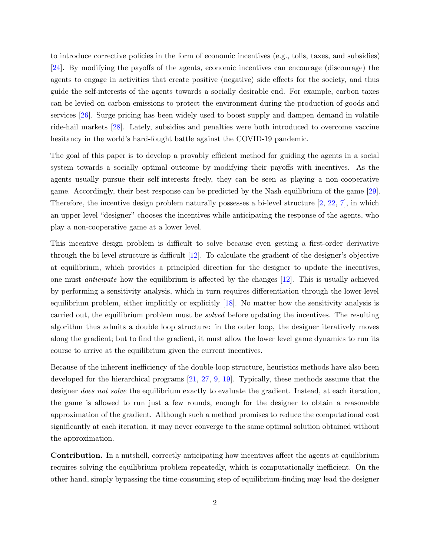to introduce corrective policies in the form of economic incentives (e.g., tolls, taxes, and subsidies) [\[24\]](#page-13-1). By modifying the payoffs of the agents, economic incentives can encourage (discourage) the agents to engage in activities that create positive (negative) side effects for the society, and thus guide the self-interests of the agents towards a socially desirable end. For example, carbon taxes can be levied on carbon emissions to protect the environment during the production of goods and services [\[26](#page-13-2)]. Surge pricing has been widely used to boost supply and dampen demand in volatile ride-hail markets [\[28](#page-13-3)]. Lately, subsidies and penalties were both introduced to overcome vaccine hesitancy in the world's hard-fought battle against the COVID-19 pandemic.

The goal of this paper is to develop a provably efficient method for guiding the agents in a social system towards a socially optimal outcome by modifying their payoffs with incentives. As the agents usually pursue their self-interests freely, they can be seen as playing a non-cooperative game. Accordingly, their best response can be predicted by the Nash equilibrium of the game [\[29](#page-13-4)]. Therefore, the incentive design problem naturally possesses a bi-level structure  $[2, 22, 7]$  $[2, 22, 7]$  $[2, 22, 7]$  $[2, 22, 7]$ , in which an upper-level "designer" chooses the incentives while anticipating the response of the agents, who play a non-cooperative game at a lower level.

This incentive design problem is difficult to solve because even getting a first-order derivative through the bi-level structure is difficult [\[12\]](#page-12-4). To calculate the gradient of the designer's objective at equilibrium, which provides a principled direction for the designer to update the incentives, one must *anticipate* how the equilibrium is affected by the changes  $[12]$ . This is usually achieved by performing a sensitivity analysis, which in turn requires differentiation through the lower-level equilibrium problem, either implicitly or explicitly [\[18](#page-12-5)]. No matter how the sensitivity analysis is carried out, the equilibrium problem must be solved before updating the incentives. The resulting algorithm thus admits a double loop structure: in the outer loop, the designer iteratively moves along the gradient; but to find the gradient, it must allow the lower level game dynamics to run its course to arrive at the equilibrium given the current incentives.

Because of the inherent inefficiency of the double-loop structure, heuristics methods have also been developed for the hierarchical programs [\[21,](#page-13-6) [27,](#page-13-7) [9](#page-12-6), [19](#page-12-7)]. Typically, these methods assume that the designer *does not solve* the equilibrium exactly to evaluate the gradient. Instead, at each iteration, the game is allowed to run just a few rounds, enough for the designer to obtain a reasonable approximation of the gradient. Although such a method promises to reduce the computational cost significantly at each iteration, it may never converge to the same optimal solution obtained without the approximation.

Contribution. In a nutshell, correctly anticipating how incentives affect the agents at equilibrium requires solving the equilibrium problem repeatedly, which is computationally inefficient. On the other hand, simply bypassing the time-consuming step of equilibrium-finding may lead the designer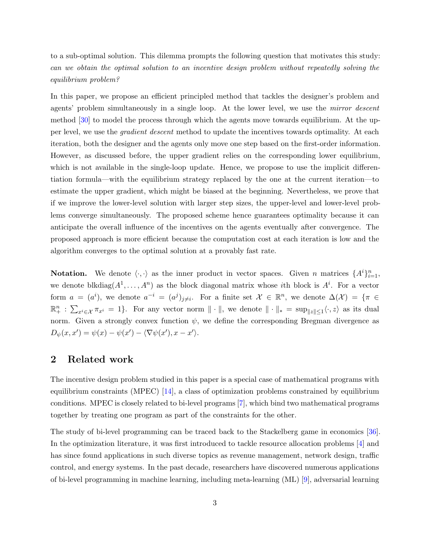to a sub-optimal solution. This dilemma prompts the following question that motivates this study: can we obtain the optimal solution to an incentive design problem without repeatedly solving the equilibrium problem?

In this paper, we propose an efficient principled method that tackles the designer's problem and agents' problem simultaneously in a single loop. At the lower level, we use the *mirror descent* method [\[30\]](#page-13-8) to model the process through which the agents move towards equilibrium. At the upper level, we use the gradient descent method to update the incentives towards optimality. At each iteration, both the designer and the agents only move one step based on the first-order information. However, as discussed before, the upper gradient relies on the corresponding lower equilibrium, which is not available in the single-loop update. Hence, we propose to use the implicit differentiation formula—with the equilibrium strategy replaced by the one at the current iteration—to estimate the upper gradient, which might be biased at the beginning. Nevertheless, we prove that if we improve the lower-level solution with larger step sizes, the upper-level and lower-level problems converge simultaneously. The proposed scheme hence guarantees optimality because it can anticipate the overall influence of the incentives on the agents eventually after convergence. The proposed approach is more efficient because the computation cost at each iteration is low and the algorithm converges to the optimal solution at a provably fast rate.

**Notation.** We denote  $\langle \cdot, \cdot \rangle$  as the inner product in vector spaces. Given n matrices  $\{A^i\}_{i=1}^n$ , we denote blkdiag $(A^1, \ldots, A^n)$  as the block diagonal matrix whose *i*th block is  $A^i$ . For a vector form  $a = (a^i)$ , we denote  $a^{-i} = (a^j)_{j \neq i}$ . For a finite set  $\mathcal{X} \in \mathbb{R}^n$ , we denote  $\Delta(\mathcal{X}) = \{\pi \in \mathcal{X} \mid \pi \in \mathcal{X}\}$  $\mathbb{R}^n_+ : \sum_{x^i \in \mathcal{X}} \pi_{x^i} = 1$ . For any vector norm  $\|\cdot\|$ , we denote  $\|\cdot\|_* = \sup_{\|z\| \le 1} \langle \cdot, z \rangle$  as its dual norm. Given a strongly convex function  $\psi$ , we define the corresponding Bregman divergence as  $D_{\psi}(x, x') = \psi(x) - \psi(x') - \langle \nabla \psi(x'), x - x' \rangle.$ 

### 2 Related work

The incentive design problem studied in this paper is a special case of mathematical programs with equilibrium constraints (MPEC) [\[14](#page-12-8)], a class of optimization problems constrained by equilibrium conditions. MPEC is closely related to bi-level programs [\[7](#page-12-3)], which bind two mathematical programs together by treating one program as part of the constraints for the other.

The study of bi-level programming can be traced back to the Stackelberg game in economics [\[36](#page-14-0)]. In the optimization literature, it was first introduced to tackle resource allocation problems [\[4](#page-12-9)] and has since found applications in such diverse topics as revenue management, network design, traffic control, and energy systems. In the past decade, researchers have discovered numerous applications of bi-level programming in machine learning, including meta-learning (ML) [\[9](#page-12-6)], adversarial learning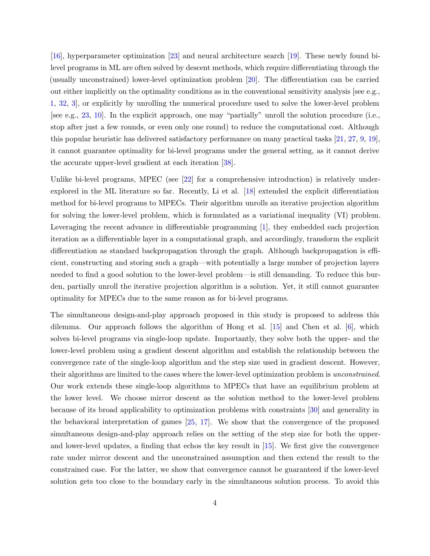[\[16\]](#page-12-10), hyperparameter optimization [\[23](#page-13-9)] and neural architecture search [\[19](#page-12-7)]. These newly found bilevel programs in ML are often solved by descent methods, which require differentiating through the (usually unconstrained) lower-level optimization problem [\[20\]](#page-13-10). The differentiation can be carried out either implicitly on the optimality conditions as in the conventional sensitivity analysis [see e.g., [1,](#page-11-1) [32,](#page-13-11) [3](#page-11-2)], or explicitly by unrolling the numerical procedure used to solve the lower-level problem [see e.g., [23,](#page-13-9) [10\]](#page-12-11). In the explicit approach, one may "partially" unroll the solution procedure (i.e., stop after just a few rounds, or even only one round) to reduce the computational cost. Although this popular heuristic has delivered satisfactory performance on many practical tasks [\[21,](#page-13-6) [27,](#page-13-7) [9](#page-12-6), [19](#page-12-7)], it cannot guarantee optimality for bi-level programs under the general setting, as it cannot derive the accurate upper-level gradient at each iteration [\[38](#page-14-1)].

Unlike bi-level programs, MPEC (see [\[22\]](#page-13-5) for a comprehensive introduction) is relatively underexplored in the ML literature so far. Recently, Li et al. [\[18](#page-12-5)] extended the explicit differentiation method for bi-level programs to MPECs. Their algorithm unrolls an iterative projection algorithm for solving the lower-level problem, which is formulated as a variational inequality (VI) problem. Leveraging the recent advance in differentiable programming [\[1\]](#page-11-1), they embedded each projection iteration as a differentiable layer in a computational graph, and accordingly, transform the explicit differentiation as standard backpropagation through the graph. Although backpropagation is efficient, constructing and storing such a graph—with potentially a large number of projection layers needed to find a good solution to the lower-level problem—is still demanding. To reduce this burden, partially unroll the iterative projection algorithm is a solution. Yet, it still cannot guarantee optimality for MPECs due to the same reason as for bi-level programs.

The simultaneous design-and-play approach proposed in this study is proposed to address this dilemma. Our approach follows the algorithm of Hong et al.  $[15]$  and Chen et al.  $[6]$ , which solves bi-level programs via single-loop update. Importantly, they solve both the upper- and the lower-level problem using a gradient descent algorithm and establish the relationship between the convergence rate of the single-loop algorithm and the step size used in gradient descent. However, their algorithms are limited to the cases where the lower-level optimization problem is unconstrained. Our work extends these single-loop algorithms to MPECs that have an equilibrium problem at the lower level. We choose mirror descent as the solution method to the lower-level problem because of its broad applicability to optimization problems with constraints [\[30](#page-13-8)] and generality in the behavioral interpretation of games [\[25](#page-13-12), [17](#page-12-14)]. We show that the convergence of the proposed simultaneous design-and-play approach relies on the setting of the step size for both the upperand lower-level updates, a finding that echos the key result in [\[15](#page-12-12)]. We first give the convergence rate under mirror descent and the unconstrained assumption and then extend the result to the constrained case. For the latter, we show that convergence cannot be guaranteed if the lower-level solution gets too close to the boundary early in the simultaneous solution process. To avoid this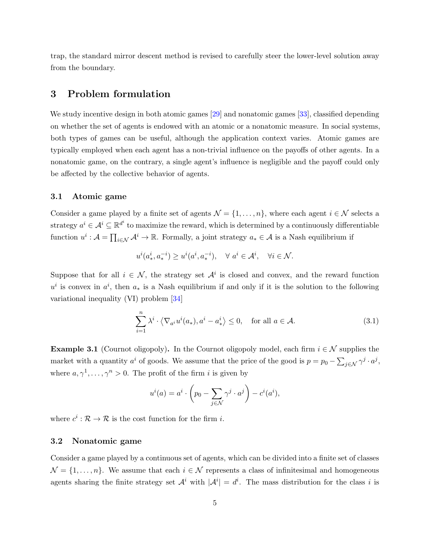trap, the standard mirror descent method is revised to carefully steer the lower-level solution away from the boundary.

### 3 Problem formulation

We study incentive design in both atomic games [\[29](#page-13-4)] and nonatomic games [\[33](#page-13-13)], classified depending on whether the set of agents is endowed with an atomic or a nonatomic measure. In social systems, both types of games can be useful, although the application context varies. Atomic games are typically employed when each agent has a non-trivial influence on the payoffs of other agents. In a nonatomic game, on the contrary, a single agent's influence is negligible and the payoff could only be affected by the collective behavior of agents.

### 3.1 Atomic game

Consider a game played by a finite set of agents  $\mathcal{N} = \{1, \ldots, n\}$ , where each agent  $i \in \mathcal{N}$  selects a strategy  $a^i \in \mathcal{A}^i \subseteq \mathbb{R}^{d^i}$  to maximize the reward, which is determined by a continuously differentiable function  $u^i: \mathcal{A} = \prod_{i \in \mathcal{N}} \mathcal{A}^i \to \mathbb{R}$ . Formally, a joint strategy  $a_* \in \mathcal{A}$  is a Nash equilibrium if

$$
u^{i}(a_{*}^{i}, a_{*}^{-i}) \ge u^{i}(a^{i}, a_{*}^{-i}), \quad \forall a^{i} \in \mathcal{A}^{i}, \quad \forall i \in \mathcal{N}.
$$

Suppose that for all  $i \in \mathcal{N}$ , the strategy set  $\mathcal{A}^i$  is closed and convex, and the reward function  $u^i$  is convex in  $a^i$ , then  $a_*$  is a Nash equilibrium if and only if it is the solution to the following variational inequality (VI) problem [\[34](#page-13-14)]

$$
\sum_{i=1}^{n} \lambda^{i} \cdot \langle \nabla_{a^{i}} u^{i}(a_{*}), a^{i} - a_{*}^{i} \rangle \le 0, \quad \text{for all } a \in \mathcal{A}.
$$
 (3.1)

**Example 3.1** (Cournot oligopoly). In the Cournot oligopoly model, each firm  $i \in \mathcal{N}$  supplies the market with a quantity  $a^i$  of goods. We assume that the price of the good is  $p = p_0 - \sum_{j \in \mathcal{N}} \gamma^j \cdot a^j$ , where  $a, \gamma^1, \ldots, \gamma^n > 0$ . The profit of the firm *i* is given by

$$
u^{i}(a) = a^{i} \cdot \left(p_{0} - \sum_{j \in \mathcal{N}} \gamma^{j} \cdot a^{j}\right) - c^{i}(a^{i}),
$$

where  $c^i : \mathcal{R} \to \mathcal{R}$  is the cost function for the firm *i*.

### 3.2 Nonatomic game

Consider a game played by a continuous set of agents, which can be divided into a finite set of classes  $\mathcal{N} = \{1, \ldots, n\}$ . We assume that each  $i \in \mathcal{N}$  represents a class of infinitesimal and homogeneous agents sharing the finite strategy set  $\mathcal{A}^i$  with  $|\mathcal{A}^i|=d^i$ . The mass distribution for the class i is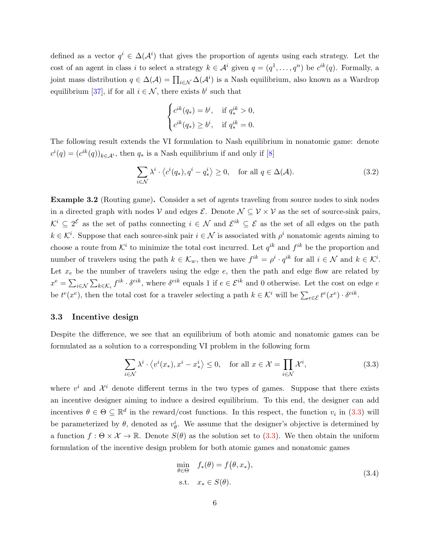defined as a vector  $q^i \in \Delta(\mathcal{A}^i)$  that gives the proportion of agents using each strategy. Let the cost of an agent in class i to select a strategy  $k \in \mathcal{A}^i$  given  $q = (q^1, \ldots, q^n)$  be  $c^{ik}(q)$ . Formally, a joint mass distribution  $q \in \Delta(\mathcal{A}) = \prod_{i \in \mathcal{N}} \Delta(\mathcal{A}^i)$  is a Nash equilibrium, also known as a Wardrop equilibrium [\[37\]](#page-14-2), if for all  $i \in \mathcal{N}$ , there exists  $b^i$  such that

$$
\begin{cases} c^{ik}(q_*)=b^i, & \text{if } q^{ik}_*>0,\\ c^{ik}(q_*)\geq b^i, & \text{if } q^{ik}_*=0.\end{cases}
$$

The following result extends the VI formulation to Nash equilibrium in nonatomic game: denote  $c^{i}(q) = (c^{ik}(q))_{k \in \mathcal{A}^{i}}$ , then  $q_{*}$  is a Nash equilibrium if and only if [\[8](#page-12-15)]

$$
\sum_{i \in \mathcal{N}} \lambda^i \cdot \langle c^i(q_*) , q^i - q_*^i \rangle \ge 0, \quad \text{for all } q \in \Delta(\mathcal{A}). \tag{3.2}
$$

Example 3.2 (Routing game). Consider a set of agents traveling from source nodes to sink nodes in a directed graph with nodes V and edges  $\mathcal{E}$ . Denote  $\mathcal{N} \subseteq \mathcal{V} \times \mathcal{V}$  as the set of source-sink pairs,  $\mathcal{K}^i \subseteq 2^{\mathcal{E}}$  as the set of paths connecting  $i \in \mathcal{N}$  and  $\mathcal{E}^{ik} \subseteq \mathcal{E}$  as the set of all edges on the path  $k \in \mathcal{K}^i$ . Suppose that each source-sink pair  $i \in \mathcal{N}$  is associated with  $\rho^i$  nonatomic agents aiming to choose a route from  $\mathcal{K}^i$  to minimize the total cost incurred. Let  $q^{ik}$  and  $f^{ik}$  be the proportion and number of travelers using the path  $k \in \mathcal{K}_w$ , then we have  $f^{ik} = \rho^i \cdot q^{ik}$  for all  $i \in \mathcal{N}$  and  $k \in \mathcal{K}^i$ . Let  $x_e$  be the number of travelers using the edge  $e$ , then the path and edge flow are related by  $x^e = \sum_{i \in \mathcal{N}} \sum_{k \in \mathcal{K}_i} f^{ik} \cdot \delta^{eik}$ , where  $\delta^{eik}$  equals 1 if  $e \in \mathcal{E}^{ik}$  and 0 otherwise. Let the cost on edge  $e$ be  $t^e(x^e)$ , then the total cost for a traveler selecting a path  $k \in \mathcal{K}^i$  will be  $\sum_{e \in \mathcal{E}} t^e(x^e) \cdot \delta^{eik}$ .

### 3.3 Incentive design

Despite the difference, we see that an equilibrium of both atomic and nonatomic games can be formulated as a solution to a corresponding VI problem in the following form

<span id="page-5-0"></span>
$$
\sum_{i \in \mathcal{N}} \lambda^i \cdot \langle v^i(x_*) , x^i - x_*^i \rangle \le 0, \quad \text{for all } x \in \mathcal{X} = \prod_{i \in \mathcal{N}} \mathcal{X}^i,
$$
\n(3.3)

<span id="page-5-1"></span>where  $v^i$  and  $\mathcal{X}^i$  denote different terms in the two types of games. Suppose that there exists an incentive designer aiming to induce a desired equilibrium. To this end, the designer can add incentives  $\theta \in \Theta \subseteq \mathbb{R}^d$  in the reward/cost functions. In this respect, the function  $v_i$  in [\(3.3\)](#page-5-0) will be parameterized by  $\theta$ , denoted as  $v_{\theta}^{i}$ . We assume that the designer's objective is determined by a function  $f : \Theta \times \mathcal{X} \to \mathbb{R}$ . Denote  $S(\theta)$  as the solution set to [\(3.3\)](#page-5-0). We then obtain the uniform formulation of the incentive design problem for both atomic games and nonatomic games

$$
\min_{\theta \in \Theta} f_*(\theta) = f(\theta, x_*),
$$
  
s.t.  $x_* \in S(\theta).$  (3.4)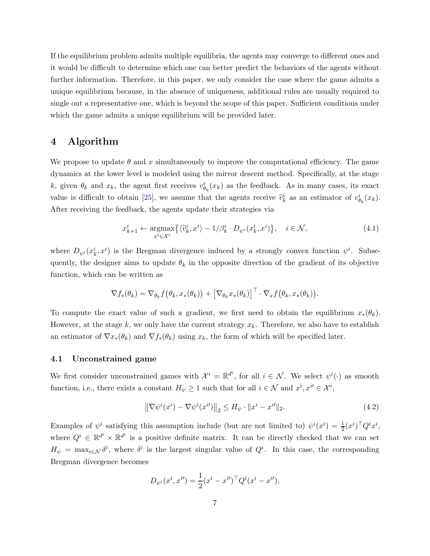If the equilibrium problem admits multiple equilibria, the agents may converge to different ones and it would be difficult to determine which one can better predict the behaviors of the agents without further information. Therefore, in this paper, we only consider the case where the game admits a unique equilibrium because, in the absence of uniqueness, additional rules are usually required to single out a representative one, which is beyond the scope of this paper. Sufficient conditions under which the game admits a unique equilibrium will be provided later.

## 4 Algorithm

We propose to update  $\theta$  and x simultaneously to improve the computational efficiency. The game dynamics at the lower level is modeled using the mirror descent method. Specifically, at the stage k, given  $\theta_k$  and  $x_k$ , the agent first receives  $v_{\theta_k}^i(x_k)$  as the feedback. As in many cases, its exact value is difficult to obtain [\[25](#page-13-12)], we assume that the agents receive  $\hat{v}_k^i$  as an estimator of  $v_{\theta_k}^i(x_k)$ . After receiving the feedback, the agents update their strategies via

$$
x_{k+1}^i \leftarrow \underset{x^i \in \mathcal{X}^i}{\operatorname{argmax}} \left\{ \langle \hat{v}_k^i, x^i \rangle - 1/\beta_k^i \cdot D_{\psi^i}(x_k^i, x^i) \right\}, \quad i \in \mathcal{N}, \tag{4.1}
$$

where  $D_{\psi^i}(x_k^i, x^i)$  is the Bregman divergence induced by a strongly convex function  $\psi^i$ . Subsequently, the designer aims to update  $\theta_k$  in the opposite direction of the gradient of its objective function, which can be written as

$$
\nabla f_*(\theta_k) = \nabla_{\theta_k} f(\theta_k, x_*(\theta_k)) + \left[\nabla_{\theta_k} x_*(\theta_k)\right]^\top \cdot \nabla_x f(\theta_k, x_*(\theta_k)).
$$

To compute the exact value of such a gradient, we first need to obtain the equilibrium  $x_*(\theta_k)$ . However, at the stage k, we only have the current strategy  $x_k$ . Therefore, we also have to establish an estimator of  $\nabla x_*(\theta_k)$  and  $\nabla f_*(\theta_k)$  using  $x_k$ , the form of which will be specified later.

### 4.1 Unconstrained game

We first consider unconstrained games with  $\mathcal{X}^i = \mathbb{R}^{d^i}$ , for all  $i \in \mathcal{N}$ . We select  $\psi^i(\cdot)$  as smooth function, i.e., there exists a constant  $H_{\psi} \geq 1$  such that for all  $i \in \mathcal{N}$  and  $x^{i}, x^{i'} \in \mathcal{X}^{i}$ ,

<span id="page-6-0"></span>
$$
\left\|\nabla\psi^{i}(x^{i}) - \nabla\psi^{i}(x^{i})\right\|_{2} \leq H_{\psi} \cdot \|x^{i} - x^{i}\|_{2}.
$$
\n(4.2)

Examples of  $\psi^i$  satisfying this assumption include (but are not limited to)  $\psi^i(x^i) = \frac{1}{2}(x^i)^\top Q^i x^i$ , where  $Q^i \in \mathbb{R}^{d^i} \times \mathbb{R}^{d^i}$  is a positive definite matrix. It can be directly checked that we can set  $H_{\psi} = \max_{i \in \mathcal{N}} \delta^i$ , where  $\delta^i$  is the largest singular value of  $Q^i$ . In this case, the corresponding Bregman divergence becomes

$$
D_{\psi^i}(x^i, x^{i\prime}) = \frac{1}{2}(x^i - x^{i\prime})^\top Q^i(x^i - x^{i\prime}),
$$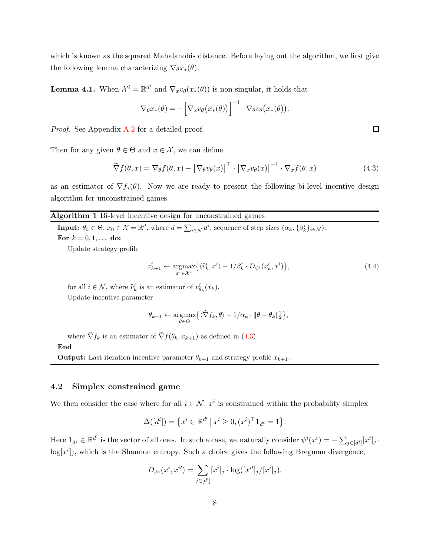<span id="page-7-1"></span>which is known as the squared Mahalanobis distance. Before laying out the algorithm, we first give the following lemma characterizing  $\nabla_{\theta} x_*(\theta)$ .

**Lemma 4.1.** When  $\mathcal{X}^i = \mathbb{R}^{d^i}$  and  $\nabla_x v_\theta(x_*(\theta))$  is non-singular, it holds that

<span id="page-7-0"></span>
$$
\nabla_{\theta} x_*(\theta) = -\Big[\nabla_x v_{\theta}\big(x_*(\theta)\big)\Big]^{-1} \cdot \nabla_{\theta} v_{\theta}\big(x_*(\theta)\big).
$$

Proof. See Appendix [A.2](#page-16-0) for a detailed proof.

Then for any given  $\theta \in \Theta$  and  $x \in \mathcal{X}$ , we can define

$$
\widetilde{\nabla} f(\theta, x) = \nabla_{\theta} f(\theta, x) - \left[\nabla_{\theta} v_{\theta}(x)\right]^{\top} \cdot \left[\nabla_{x} v_{\theta}(x)\right]^{-1} \cdot \nabla_{x} f(\theta, x) \tag{4.3}
$$

<span id="page-7-2"></span>as an estimator of  $\nabla f_*(\theta)$ . Now we are ready to present the following bi-level incentive design algorithm for unconstrained games.

### Algorithm 1 Bi-level incentive design for unconstrained games

**Input:**  $\theta_0 \in \Theta$ ,  $x_0 \in \mathcal{X} = \mathbb{R}^d$ , where  $d = \sum_{i \in \mathcal{N}} d^i$ , sequence of step sizes  $(\alpha_k, {\beta_k}^i_{i \in \mathcal{N}})$ . For  $k = 0, 1, ...$  do:

Update strategy profile

<span id="page-7-3"></span>
$$
x_{k+1}^i \leftarrow \underset{x^i \in \mathcal{X}^i}{\operatorname{argmax}} \left\{ \langle \widehat{v}_k^i, x^i \rangle - 1/\beta_k^i \cdot D_{\psi^i}(x_k^i, x^i) \right\},\tag{4.4}
$$

for all  $i \in \mathcal{N}$ , where  $\hat{v}_k^i$  is an estimator of  $v_{\theta_k}^i(x_k)$ . Update incentive parameter

$$
\theta_{k+1} \leftarrow \underset{\theta \in \Theta}{\operatorname{argmax}} \big\{ \langle \widehat{\nabla} f_k, \theta \rangle - 1/\alpha_k \cdot \|\theta - \theta_k\|_2^2 \big\},\
$$

where  $\widehat{\nabla} f_k$  is an estimator of  $\widetilde{\nabla} f(\theta_k, x_{k+1})$  as defined in [\(4.3\)](#page-7-0).

#### End

**Output:** Last iteration incentive parameter  $\theta_{k+1}$  and strategy profile  $x_{k+1}$ .

#### 4.2 Simplex constrained game

We then consider the case where for all  $i \in \mathcal{N}$ ,  $x^i$  is constrained within the probability simplex

$$
\Delta([d^i]) = \{x^i \in \mathbb{R}^{d^i} \mid x^i \ge 0, (x^i)^\top \mathbf{1}_{d^i} = 1\}.
$$

Here  $\mathbf{1}_{d^i} \in \mathbb{R}^{d^i}$  is the vector of all ones. In such a case, we naturally consider  $\psi^i(x^i) = -\sum_{j \in [d^i]} [x^i]_j$ .  $\log[x^i]_j$ , which is the Shannon entropy. Such a choice gives the following Bregman divergence,

$$
D_{\psi^{i}}(x^{i}, x^{i}) = \sum_{j \in [d^{i}]} [x^{i}]_{j} \cdot \log([x^{i\prime}]_{j}/[x^{i}]_{j}),
$$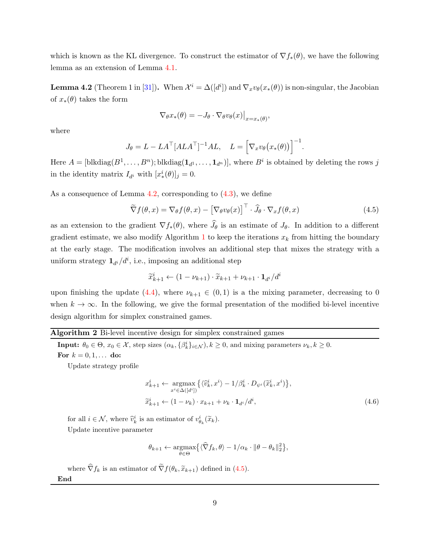<span id="page-8-0"></span>which is known as the KL divergence. To construct the estimator of  $\nabla f_*(\theta)$ , we have the following lemma as an extension of Lemma [4.1.](#page-7-1)

**Lemma 4.2** (Theorem 1 in [\[31](#page-13-15)]). When  $\mathcal{X}^i = \Delta([d^i])$  and  $\nabla_x v_\theta(x_*(\theta))$  is non-singular, the Jacobian of  $x_*(\theta)$  takes the form

<span id="page-8-1"></span>
$$
\nabla_{\theta} x_*(\theta) = -J_{\theta} \cdot \nabla_{\theta} v_{\theta}(x)\big|_{x=x_*(\theta)},
$$

where

$$
J_{\theta} = L - LA^{\top} [ALA^{\top}]^{-1} AL, \quad L = \left[ \nabla_x v_{\theta} (x_*(\theta)) \right]^{-1}.
$$

Here  $A = [\text{blkdiag}(B^1, \ldots, B^n); \text{blkdiag}(\mathbf{1}_{d^1}, \ldots, \mathbf{1}_{d^n})]$ , where  $B^i$  is obtained by deleting the rows j in the identity matrix  $I_{d^i}$  with  $[x^i_*(\theta)]_j = 0$ .

As a consequence of Lemma  $4.2$ , corresponding to  $(4.3)$ , we define

$$
\widetilde{\nabla} f(\theta, x) = \nabla_{\theta} f(\theta, x) - \left[\nabla_{\theta} v_{\theta}(x)\right]^{\top} \cdot \widehat{J}_{\theta} \cdot \nabla_{x} f(\theta, x)
$$
\n(4.5)

as an extension to the gradient  $\nabla f_*(\theta)$ , where  $J_{\theta}$  is an estimate of  $J_{\theta}$ . In addition to a different gradient estimate, we also modify Algorithm [1](#page-7-2) to keep the iterations  $x_k$  from hitting the boundary at the early stage. The modification involves an additional step that mixes the strategy with a uniform strategy  $\mathbf{1}_{d_i}/d_i$ , i.e., imposing an additional step

$$
\widetilde{x}_{k+1}^i \leftarrow (1 - \nu_{k+1}) \cdot \widetilde{x}_{k+1} + \nu_{k+1} \cdot \mathbf{1}_{d^i} / d^i
$$

upon finishing the update [\(4.4\)](#page-7-3), where  $\nu_{k+1} \in (0,1)$  is a the mixing parameter, decreasing to 0 when  $k \to \infty$ . In the following, we give the formal presentation of the modified bi-level incentive design algorithm for simplex constrained games.

### <span id="page-8-2"></span>Algorithm 2 Bi-level incentive design for simplex constrained games

**Input:**  $\theta_0 \in \Theta$ ,  $x_0 \in \mathcal{X}$ , step sizes  $(\alpha_k, {\beta_k^i}_{i \in \mathcal{N}}), k \geq 0$ , and mixing parameters  $\nu_k, k \geq 0$ .

For  $k = 0, 1, ...$  do:

Update strategy profile

<span id="page-8-3"></span>
$$
x_{k+1}^i \leftarrow \underset{x^i \in \Delta([d^i])}{\text{argmax}} \left\{ \langle \hat{v}_k^i, x^i \rangle - 1/\beta_k^i \cdot D_{\psi^i}(\widetilde{x}_k^i, x^i) \right\},
$$
  

$$
\widetilde{x}_{k+1}^i \leftarrow (1 - \nu_k) \cdot x_{k+1} + \nu_k \cdot \mathbf{1}_{d^i} / d^i,
$$
 (4.6)

for all  $i \in \mathcal{N}$ , where  $\widehat{v}_k^i$  is an estimator of  $v_{\theta_k}^i(\widetilde{x}_k)$ . Update incentive parameter

$$
\theta_{k+1} \leftarrow \underset{\theta \in \Theta}{\operatorname{argmax}} \big\{ \langle \widehat{\nabla} f_k, \theta \rangle - 1/\alpha_k \cdot \|\theta - \theta_k\|_2^2 \big\},\
$$

where  $\widehat{\nabla} f_k$  is an estimator of  $\widetilde{\nabla} f(\theta_k, \widetilde{x}_{k+1})$  defined in [\(4.5\)](#page-8-1).

End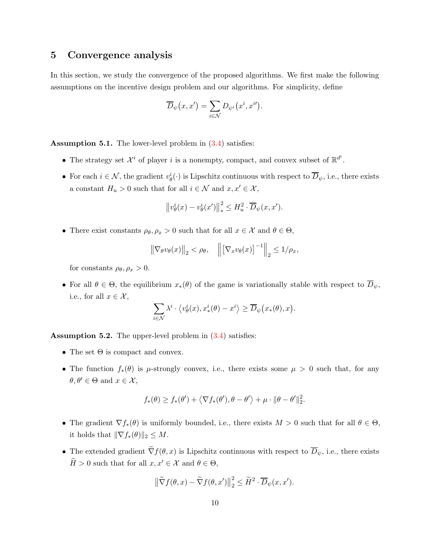### 5 Convergence analysis

In this section, we study the convergence of the proposed algorithms. We first make the following assumptions on the incentive design problem and our algorithms. For simplicity, define

$$
\overline{D}_{\psi}(x,x')=\sum_{i\in\mathcal{N}}D_{\psi^{i}}(x^{i},x^{i\prime}).
$$

<span id="page-9-0"></span>Assumption 5.1. The lower-level problem in  $(3.4)$  satisfies:

- The strategy set  $\mathcal{X}^i$  of player i is a nonempty, compact, and convex subset of  $\mathbb{R}^{d^i}$ .
- For each  $i \in \mathcal{N}$ , the gradient  $v^i_{\theta}(\cdot)$  is Lipschitz continuous with respect to  $\overline{D}_{\psi}$ , i.e., there exists a constant  $H_u > 0$  such that for all  $i \in \mathcal{N}$  and  $x, x' \in \mathcal{X}$ ,

$$
\left\|v_{\theta}^{i}(x)-v_{\theta}^{i}(x')\right\|_{*}^{2} \leq H_{u}^{2} \cdot \overline{D}_{\psi}(x,x').
$$

• There exist constants  $\rho_{\theta}, \rho_x > 0$  such that for all  $x \in \mathcal{X}$  and  $\theta \in \Theta$ ,

$$
\left\|\nabla_{\theta}v_{\theta}(x)\right\|_{2} < \rho_{\theta}, \quad \left\|\left[\nabla_{x}v_{\theta}(x)\right]^{-1}\right\|_{2} \leq 1/\rho_{x},
$$

for constants  $\rho_{\theta}, \rho_x > 0$ .

• For all  $\theta \in \Theta$ , the equilibrium  $x_*(\theta)$  of the game is variationally stable with respect to  $\overline{D}_{\psi}$ , i.e., for all  $x \in \mathcal{X}$ ,

$$
\sum_{i \in \mathcal{N}} \lambda^i \cdot \left\langle v^i_\theta(x), x^i_*(\theta) - x^i \right\rangle \ge \overline{D}_{\psi}\big(x_*(\theta), x\big).
$$

<span id="page-9-1"></span>Assumption 5.2. The upper-level problem in  $(3.4)$  satisfies:

- The set  $\Theta$  is compact and convex.
- The function  $f_*(\theta)$  is  $\mu$ -strongly convex, i.e., there exists some  $\mu > 0$  such that, for any  $\theta, \theta' \in \Theta$  and  $x \in \mathcal{X}$ ,

$$
f_*(\theta) \ge f_*(\theta') + \left\langle \nabla f_*(\theta'), \theta - \theta' \right\rangle + \mu \cdot \|\theta - \theta'\|_2^2.
$$

- The gradient  $\nabla f_*(\theta)$  is uniformly bounded, i.e., there exists  $M > 0$  such that for all  $\theta \in \Theta$ , it holds that  $\|\nabla f_*(\theta)\|_2 \leq M$ .
- <span id="page-9-2"></span>• The extended gradient  $\tilde{\nabla}f(\theta, x)$  is Lipschitz continuous with respect to  $\overline{D}_{\psi}$ , i.e., there exists  $\widetilde{H} > 0$  such that for all  $x, x' \in \mathcal{X}$  and  $\theta \in \Theta$ ,

$$
\left\|\widetilde{\nabla}f(\theta,x)-\widetilde{\nabla}f(\theta,x')\right\|_{2}^{2} \leq \widetilde{H}^{2} \cdot \overline{D}_{\psi}(x,x').
$$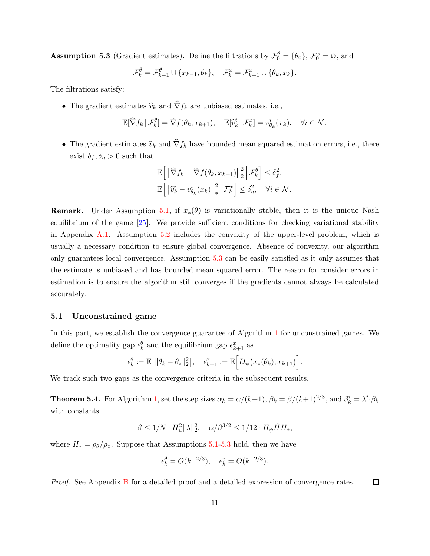**Assumption 5.3** (Gradient estimates). Define the filtrations by  $\mathcal{F}_0^{\theta} = \{\theta_0\}, \mathcal{F}_0^x = \emptyset$ , and

$$
\mathcal{F}_k^{\theta} = \mathcal{F}_{k-1}^{\theta} \cup \{x_{k-1}, \theta_k\}, \quad \mathcal{F}_k^x = \mathcal{F}_{k-1}^x \cup \{\theta_k, x_k\}.
$$

The filtrations satisfy:

• The gradient estimates  $\widehat{v}_k$  and  $\widehat{\nabla} f_k$  are unbiased estimates, i.e.,

$$
\mathbb{E}[\widehat{\nabla} f_k \,|\, \mathcal{F}_k^{\theta}] = \widetilde{\nabla} f(\theta_k, x_{k+1}), \quad \mathbb{E}[\widehat{v}_k^i \,|\, \mathcal{F}_k^x] = v_{\theta_k}^i(x_k), \quad \forall i \in \mathcal{N}.
$$

• The gradient estimates  $\hat{v}_k$  and  $\hat{\nabla} f_k$  have bounded mean squared estimation errors, i.e., there exist  $\delta_f, \delta_u > 0$  such that

$$
\mathbb{E}\Big[\big\|\widehat{\nabla} f_k - \widetilde{\nabla} f(\theta_k, x_{k+1})\big\|_2^2 \Big| \mathcal{F}_k^{\theta}\Big] \leq \delta_f^2,
$$
  

$$
\mathbb{E}\Big[\big\|\widehat{v}_k^i - v_{\theta_k}^i(x_k)\big\|_*^2 \Big| \mathcal{F}_k^x\Big] \leq \delta_u^2, \quad \forall i \in \mathcal{N}.
$$

**Remark.** Under Assumption [5.1,](#page-9-0) if  $x_*(\theta)$  is variationally stable, then it is the unique Nash equilibrium of the game [\[25](#page-13-12)]. We provide sufficient conditions for checking variational stability in Appendix [A.1.](#page-15-0) Assumption [5.2](#page-9-1) includes the convexity of the upper-level problem, which is usually a necessary condition to ensure global convergence. Absence of convexity, our algorithm only guarantees local convergence. Assumption [5.3](#page-9-2) can be easily satisfied as it only assumes that the estimate is unbiased and has bounded mean squared error. The reason for consider errors in estimation is to ensure the algorithm still converges if the gradients cannot always be calculated accurately.

### 5.1 Unconstrained game

In this part, we establish the convergence guarantee of Algorithm [1](#page-7-2) for unconstrained games. We define the optimality gap  $\epsilon_k^{\theta}$  and the equilibrium gap  $\epsilon_{k+1}^x$  as

$$
\epsilon_k^{\theta} := \mathbb{E}\big[ \| \theta_k - \theta_* \|_2^2 \big], \quad \epsilon_{k+1}^x := \mathbb{E}\Big[ \overline{D}_{\psi}\big(x_*(\theta_k), x_{k+1}\big) \Big].
$$

<span id="page-10-0"></span>We track such two gaps as the convergence criteria in the subsequent results.

**Theorem 5.4.** For Algorithm [1,](#page-7-2) set the step sizes  $\alpha_k = \alpha/(k+1)$ ,  $\beta_k = \beta/(k+1)^{2/3}$ , and  $\beta_k^i = \lambda^i \cdot \beta_k$ with constants

$$
\beta \le 1/N \cdot H_u^2 ||\lambda||_2^2, \quad \alpha/\beta^{3/2} \le 1/12 \cdot H_\psi \widetilde{H} H_*,
$$

where  $H_* = \rho_\theta/\rho_x$ . Suppose that Assumptions [5.1-](#page-9-0)[5.3](#page-9-2) hold, then we have

$$
\epsilon_k^{\theta} = O(k^{-2/3}), \quad \epsilon_k^x = O(k^{-2/3}).
$$

Proof. See Appendix [B](#page-17-0) for a detailed proof and a detailed expression of convergence rates.  $\Box$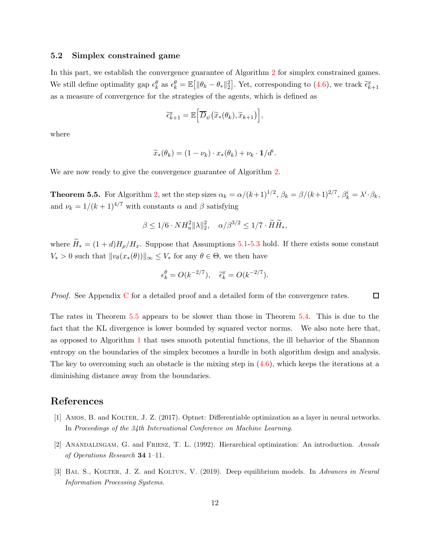### 5.2 Simplex constrained game

In this part, we establish the convergence guarantee of Algorithm [2](#page-8-2) for simplex constrained games. We still define optimality gap  $\epsilon_k^{\theta}$  as  $\epsilon_k^{\theta} = \mathbb{E}[\|\theta_k - \theta_*\|_2^2]$ . Yet, corresponding to [\(4.6\)](#page-8-3), we track  $\tilde{\epsilon}_{k+1}^x$ as a measure of convergence for the strategies of the agents, which is defined as

$$
\widetilde{\epsilon}_{k+1}^x = \mathbb{E}\Big[\overline{D}_{\psi}\big(\widetilde{x}_*(\theta_k), \widetilde{x}_{k+1}\big)\Big],
$$

where

$$
\widetilde{x}_{*}(\theta_{k}) = (1 - \nu_{k}) \cdot x_{*}(\theta_{k}) + \nu_{k} \cdot \mathbf{1}/d^{i}.
$$

<span id="page-11-3"></span>We are now ready to give the convergence guarantee of Algorithm [2.](#page-8-2)

**Theorem 5.5.** For Algorithm [2,](#page-8-2) set the step sizes  $\alpha_k = \alpha/(k+1)^{1/2}$ ,  $\beta_k = \beta/(k+1)^{2/7}$ ,  $\beta_k^i = \lambda^i \cdot \beta_k$ , and  $\nu_k = 1/(k+1)^{4/7}$  with constants  $\alpha$  and  $\beta$  satisfying

$$
\beta \le 1/6 \cdot NH_u^2 \|\lambda\|_2^2, \quad \alpha/\beta^{3/2} \le 1/7 \cdot \widetilde{H}\widetilde{H}_*,
$$

where  $\widetilde{H}_* = (1+d)H_{\rho}/H_x$ . Suppose that Assumptions [5.1](#page-9-0)[-5.3](#page-9-2) hold. If there exists some constant  $V_* > 0$  such that  $||v_{\theta}(x_*(\theta))||_{\infty} \leq V_*$  for any  $\theta \in \Theta$ , we then have

$$
\epsilon_k^{\theta} = O(k^{-2/7}), \quad \tilde{\epsilon}_k^x = O(k^{-2/7}).
$$

Proof. See Appendix [C](#page-22-0) for a detailed proof and a detailed form of the convergence rates.  $\Box$ 

The rates in Theorem [5.5](#page-11-3) appears to be slower than those in Theorem [5.4.](#page-10-0) This is due to the fact that the KL divergence is lower bounded by squared vector norms. We also note here that, as opposed to Algorithm [1](#page-7-2) that uses smooth potential functions, the ill behavior of the Shannon entropy on the boundaries of the simplex becomes a hurdle in both algorithm design and analysis. The key to overcoming such an obstacle is the mixing step in  $(4.6)$ , which keeps the iterations at a diminishing distance away from the boundaries.

### References

- <span id="page-11-1"></span>[1] AMOS, B. and KOLTER, J. Z. (2017). Optnet: Differentiable optimization as a layer in neural networks. In Proceedings of the 34th International Conference on Machine Learning.
- <span id="page-11-0"></span>[2] Anandalingam, G. and Friesz, T. L. (1992). Hierarchical optimization: An introduction. Annals of Operations Research 34 1–11.
- <span id="page-11-2"></span>[3] BAI, S., KOLTER, J. Z. and KOLTUN, V. (2019). Deep equilibrium models. In Advances in Neural Information Processing Systems.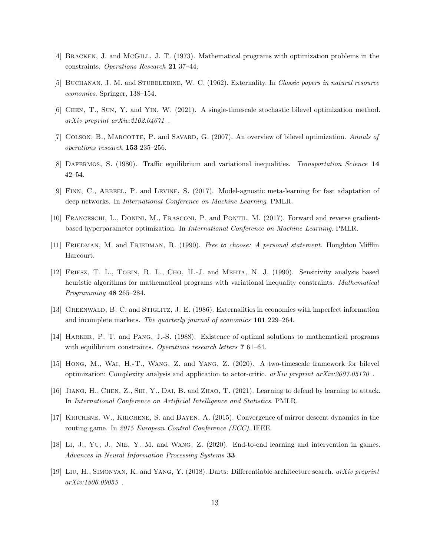- <span id="page-12-9"></span>[4] BRACKEN, J. and McGILL, J. T. (1973). Mathematical programs with optimization problems in the constraints. Operations Research 21 37–44.
- <span id="page-12-1"></span>[5] BUCHANAN, J. M. and STUBBLEBINE, W. C. (1962). Externality. In Classic papers in natural resource economics. Springer, 138–154.
- <span id="page-12-13"></span>[6] Chen, T., Sun, Y. and Yin, W. (2021). A single-timescale stochastic bilevel optimization method. arXiv preprint arXiv:2102.04671 .
- <span id="page-12-3"></span>[7] COLSON, B., MARCOTTE, P. and SAVARD, G. (2007). An overview of bilevel optimization. Annals of operations research 153 235–256.
- <span id="page-12-15"></span>[8] DAFERMOS, S. (1980). Traffic equilibrium and variational inequalities. Transportation Science 14 42–54.
- <span id="page-12-6"></span>[9] Finn, C., Abbeel, P. and Levine, S. (2017). Model-agnostic meta-learning for fast adaptation of deep networks. In International Conference on Machine Learning. PMLR.
- <span id="page-12-11"></span>[10] Franceschi, L., Donini, M., Frasconi, P. and Pontil, M. (2017). Forward and reverse gradientbased hyperparameter optimization. In International Conference on Machine Learning. PMLR.
- <span id="page-12-0"></span>[11] FRIEDMAN, M. and FRIEDMAN, R. (1990). Free to choose: A personal statement. Houghton Mifflin Harcourt.
- <span id="page-12-4"></span>[12] Friesz, T. L., Tobin, R. L., Cho, H.-J. and Mehta, N. J. (1990). Sensitivity analysis based heuristic algorithms for mathematical programs with variational inequality constraints. Mathematical Programming 48 265–284.
- <span id="page-12-2"></span>[13] Greenwald, B. C. and Stiglitz, J. E. (1986). Externalities in economies with imperfect information and incomplete markets. The quarterly journal of economics 101 229–264.
- <span id="page-12-8"></span>[14] Harker, P. T. and Pang, J.-S. (1988). Existence of optimal solutions to mathematical programs with equilibrium constraints. Operations research letters **7** 61–64.
- <span id="page-12-12"></span>[15] Hong, M., Wai, H.-T., Wang, Z. and Yang, Z. (2020). A two-timescale framework for bilevel optimization: Complexity analysis and application to actor-critic. arXiv preprint arXiv:2007.05170 .
- <span id="page-12-10"></span>[16] Jiang, H., Chen, Z., Shi, Y., Dai, B. and Zhao, T. (2021). Learning to defend by learning to attack. In International Conference on Artificial Intelligence and Statistics. PMLR.
- <span id="page-12-14"></span>[17] Krichene, W., Krichene, S. and Bayen, A. (2015). Convergence of mirror descent dynamics in the routing game. In 2015 European Control Conference (ECC). IEEE.
- <span id="page-12-5"></span>[18] Li, J., Yu, J., Nie, Y. M. and Wang, Z. (2020). End-to-end learning and intervention in games. Advances in Neural Information Processing Systems 33.
- <span id="page-12-7"></span>[19] Liu, H., Simonyan, K. and Yang, Y. (2018). Darts: Differentiable architecture search. arXiv preprint arXiv:1806.09055 .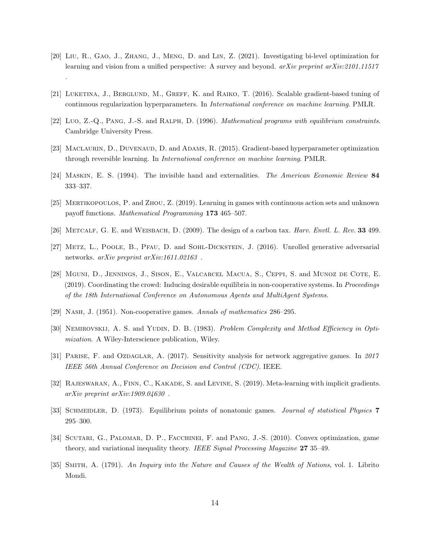- <span id="page-13-10"></span>[20] Liu, R., Gao, J., Zhang, J., Meng, D. and Lin, Z. (2021). Investigating bi-level optimization for learning and vision from a unified perspective: A survey and beyond. arXiv preprint arXiv:2101.11517 .
- <span id="page-13-6"></span>[21] LUKETINA, J., BERGLUND, M., GREFF, K. and RAIKO, T. (2016). Scalable gradient-based tuning of continuous regularization hyperparameters. In International conference on machine learning. PMLR.
- <span id="page-13-5"></span>[22] Luo, Z.-Q., Pang, J.-S. and Ralph, D. (1996). Mathematical programs with equilibrium constraints. Cambridge University Press.
- <span id="page-13-9"></span>[23] MACLAURIN, D., DUVENAUD, D. and ADAMS, R. (2015). Gradient-based hyperparameter optimization through reversible learning. In International conference on machine learning. PMLR.
- <span id="page-13-1"></span>[24] Maskin, E. S. (1994). The invisible hand and externalities. The American Economic Review 84 333–337.
- <span id="page-13-12"></span>[25] Mertikopoulos, P. and Zhou, Z. (2019). Learning in games with continuous action sets and unknown payoff functions. Mathematical Programming 173 465–507.
- <span id="page-13-2"></span>[26] METCALF, G. E. and WEISBACH, D. (2009). The design of a carbon tax. *Harv. Envtl. L. Rev.* 33 499.
- <span id="page-13-7"></span>[27] METZ, L., POOLE, B., PFAU, D. and SOHL-DICKSTEIN, J. (2016). Unrolled generative adversarial networks. arXiv preprint arXiv:1611.02163 .
- <span id="page-13-3"></span>[28] Mguni, D., Jennings, J., Sison, E., Valcarcel Macua, S., Ceppi, S. and Munoz de Cote, E. (2019). Coordinating the crowd: Inducing desirable equilibria in non-cooperative systems. In Proceedings of the 18th International Conference on Autonomous Agents and MultiAgent Systems.
- <span id="page-13-4"></span>[29] Nash, J. (1951). Non-cooperative games. Annals of mathematics 286–295.
- <span id="page-13-8"></span>[30] NEMIROVSKIJ, A. S. and YUDIN, D. B. (1983). Problem Complexity and Method Efficiency in Optimization. A Wiley-Interscience publication, Wiley.
- <span id="page-13-15"></span>[31] PARISE, F. and OZDAGLAR, A. (2017). Sensitivity analysis for network aggregative games. In 2017 IEEE 56th Annual Conference on Decision and Control (CDC). IEEE.
- <span id="page-13-11"></span>[32] Rajeswaran, A., Finn, C., Kakade, S. and Levine, S. (2019). Meta-learning with implicit gradients. arXiv preprint arXiv:1909.04630 .
- <span id="page-13-13"></span>[33] SCHMEIDLER, D. (1973). Equilibrium points of nonatomic games. Journal of statistical Physics 7 295–300.
- <span id="page-13-14"></span>[34] SCUTARI, G., PALOMAR, D. P., FACCHINEI, F. and PANG, J.-S. (2010). Convex optimization, game theory, and variational inequality theory. IEEE Signal Processing Magazine 27 35-49.
- <span id="page-13-0"></span>[35] Smith, A. (1791). An Inquiry into the Nature and Causes of the Wealth of Nations, vol. 1. Librito Mondi.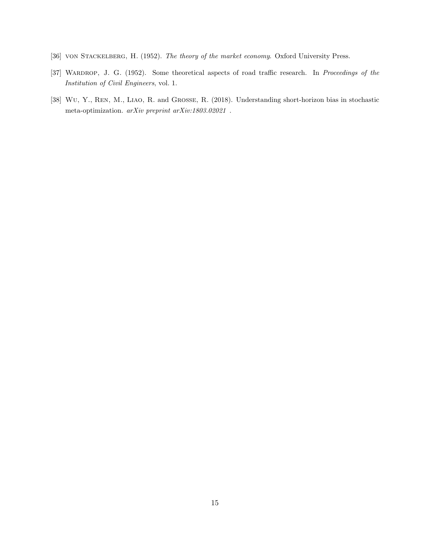- <span id="page-14-0"></span>[36] VON STACKELBERG, H. (1952). The theory of the market economy. Oxford University Press.
- <span id="page-14-2"></span>[37] WARDROP, J. G. (1952). Some theoretical aspects of road traffic research. In Proceedings of the Institution of Civil Engineers, vol. 1.
- <span id="page-14-1"></span>[38] Wu, Y., Ren, M., Liao, R. and Grosse, R. (2018). Understanding short-horizon bias in stochastic meta-optimization. $\emph{arXiv}$  preprint  $\emph{arXiv:} 1803.02021$  .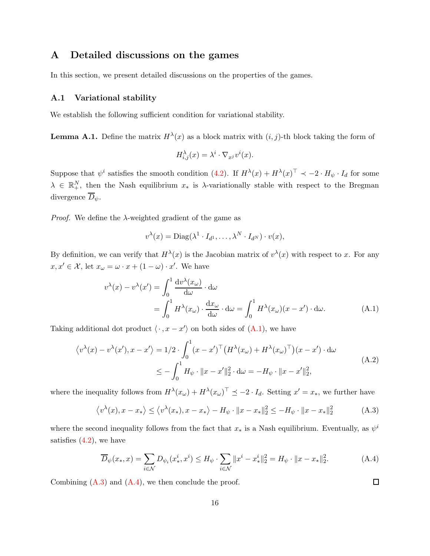### A Detailed discussions on the games

<span id="page-15-0"></span>In this section, we present detailed discussions on the properties of the games.

#### A.1 Variational stability

We establish the following sufficient condition for variational stability.

**Lemma A.1.** Define the matrix  $H^{\lambda}(x)$  as a block matrix with  $(i, j)$ -th block taking the form of

$$
H_{i,j}^{\lambda}(x) = \lambda^i \cdot \nabla_{x^j} v^i(x).
$$

Suppose that  $\psi^i$  satisfies the smooth condition [\(4.2\)](#page-6-0). If  $H^{\lambda}(x) + H^{\lambda}(x)^{\top} \prec -2 \cdot H_{\psi} \cdot I_d$  for some  $\lambda \in \mathbb{R}^N_+$ , then the Nash equilibrium  $x_*$  is  $\lambda$ -variationally stable with respect to the Bregman divergence  $\overline{D}_{\psi}$ .

*Proof.* We define the  $\lambda$ -weighted gradient of the game as

<span id="page-15-1"></span>
$$
v^{\lambda}(x) = \text{Diag}(\lambda^1 \cdot I_{d^1}, \dots, \lambda^N \cdot I_{d^N}) \cdot v(x),
$$

By definition, we can verify that  $H^{\lambda}(x)$  is the Jacobian matrix of  $v^{\lambda}(x)$  with respect to x. For any  $x, x' \in \mathcal{X}$ , let  $x_{\omega} = \omega \cdot x + (1 - \omega) \cdot x'$ . We have

$$
v^{\lambda}(x) - v^{\lambda}(x') = \int_0^1 \frac{dv^{\lambda}(x_{\omega})}{d\omega} \cdot d\omega
$$
  
= 
$$
\int_0^1 H^{\lambda}(x_{\omega}) \cdot \frac{dx_{\omega}}{d\omega} \cdot d\omega = \int_0^1 H^{\lambda}(x_{\omega})(x - x') \cdot d\omega.
$$
 (A.1)

Taking additional dot product  $\langle \cdot, x - x' \rangle$  on both sides of  $(A.1)$ , we have

<span id="page-15-4"></span>
$$
\langle v^{\lambda}(x) - v^{\lambda}(x'), x - x' \rangle = 1/2 \cdot \int_0^1 (x - x')^{\top} \left( H^{\lambda}(x_{\omega}) + H^{\lambda}(x_{\omega})^{\top} \right) (x - x') \cdot d\omega
$$
  

$$
\leq - \int_0^1 H_{\psi} \cdot ||x - x'||_2^2 \cdot d\omega = -H_{\psi} \cdot ||x - x'||_2^2,
$$
 (A.2)

where the inequality follows from  $H^{\lambda}(x_{\omega}) + H^{\lambda}(x_{\omega})^{\top} \preceq -2 \cdot I_d$ . Setting  $x' = x_*$ , we further have

<span id="page-15-2"></span>
$$
\langle v^{\lambda}(x), x - x_* \rangle \le \langle v^{\lambda}(x_*) , x - x_* \rangle - H_{\psi} \cdot ||x - x_*||_2^2 \le -H_{\psi} \cdot ||x - x_*||_2^2 \tag{A.3}
$$

where the second inequality follows from the fact that  $x_*$  is a Nash equilibrium. Eventually, as  $\psi^i$ satisfies  $(4.2)$ , we have

<span id="page-15-3"></span>
$$
\overline{D}_{\psi}(x_*,x) = \sum_{i \in \mathcal{N}} D_{\psi_i}(x_*^i, x^i) \le H_{\psi} \cdot \sum_{i \in \mathcal{N}} \|x^i - x_*^i\|_2^2 = H_{\psi} \cdot \|x - x_*\|_2^2.
$$
 (A.4)

Combining  $(A.3)$  and  $(A.4)$ , we then conclude the proof.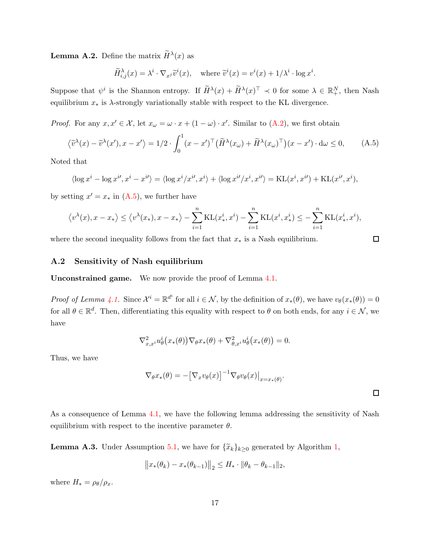**Lemma A.2.** Define the matrix  $\widetilde{H}^{\lambda}(x)$  as

$$
\widetilde{H}_{i,j}^{\lambda}(x) = \lambda^i \cdot \nabla_{x^j} \widetilde{v}^i(x), \quad \text{where } \widetilde{v}^i(x) = v^i(x) + 1/\lambda^i \cdot \log x^i.
$$

Suppose that  $\psi^i$  is the Shannon entropy. If  $\widetilde{H}^{\lambda}(x) + \widetilde{H}^{\lambda}(x)^{\top} \prec 0$  for some  $\lambda \in \mathbb{R}^N_+$ , then Nash equilibrium  $x_*$  is  $\lambda$ -strongly variationally stable with respect to the KL divergence.

<span id="page-16-1"></span>*Proof.* For any  $x, x' \in \mathcal{X}$ , let  $x_{\omega} = \omega \cdot x + (1 - \omega) \cdot x'$ . Similar to [\(A.2\)](#page-15-4), we first obtain

$$
\langle \widetilde{v}^{\lambda}(x) - \widetilde{v}^{\lambda}(x'), x - x' \rangle = 1/2 \cdot \int_0^1 (x - x')^{\top} \left( \widetilde{H}^{\lambda}(x_{\omega}) + \widetilde{H}^{\lambda}(x_{\omega})^{\top} \right) (x - x') \cdot d\omega \le 0, \tag{A.5}
$$

Noted that

$$
\langle \log x^i - \log x^{i\prime}, x^i - x^{i\prime} \rangle = \langle \log x^i / x^{i\prime}, x^i \rangle + \langle \log x^{i\prime} / x^i, x^{i\prime} \rangle = \text{KL}(x^i, x^{i\prime}) + \text{KL}(x^{i\prime}, x^i),
$$

by setting  $x' = x_*$  in [\(A.5\)](#page-16-1), we further have

$$
\langle v^{\lambda}(x), x - x_* \rangle \le \langle v^{\lambda}(x_*) , x - x_* \rangle - \sum_{i=1}^n \mathrm{KL}(x_*^i, x^i) - \sum_{i=1}^n \mathrm{KL}(x^i, x^i_*) \le - \sum_{i=1}^n \mathrm{KL}(x_*^i, x^i),
$$

<span id="page-16-0"></span>where the second inequality follows from the fact that  $x_*$  is a Nash equilibrium.

### A.2 Sensitivity of Nash equilibrium

Unconstrained game. We now provide the proof of Lemma [4.1.](#page-7-1)

Proof of Lemma [4.1.](#page-7-1) Since  $\mathcal{X}^i = \mathbb{R}^{d^i}$  for all  $i \in \mathcal{N}$ , by the definition of  $x_*(\theta)$ , we have  $v_{\theta}(x_*(\theta)) = 0$ for all  $\theta \in \mathbb{R}^d$ . Then, differentiating this equality with respect to  $\theta$  on both ends, for any  $i \in \mathcal{N}$ , we have

$$
\nabla_{x,x^i}^2 u_{\theta}^i(x_*(\theta)) \nabla_{\theta} x_*(\theta) + \nabla_{\theta,x^i}^2 u_{\theta}^i(x_*(\theta)) = 0.
$$

Thus, we have

$$
\nabla_{\theta} x_*(\theta) = -[\nabla_x v_{\theta}(x)]^{-1} \nabla_{\theta} v_{\theta}(x)|_{x=x_*(\theta)}.
$$

 $\Box$ 

<span id="page-16-2"></span>As a consequence of Lemma [4.1,](#page-7-1) we have the following lemma addressing the sensitivity of Nash equilibrium with respect to the incentive parameter  $\theta$ .

**Lemma A.3.** Under Assumption [5.1,](#page-9-0) we have for  $\{\tilde{x}_k\}_{k\geq 0}$  generated by Algorithm [1,](#page-7-2)

$$
||x_*(\theta_k) - x_*(\theta_{k-1})||_2 \leq H_* \cdot ||\theta_k - \theta_{k-1}||_2,
$$

where  $H_* = \rho_\theta/\rho_x$ .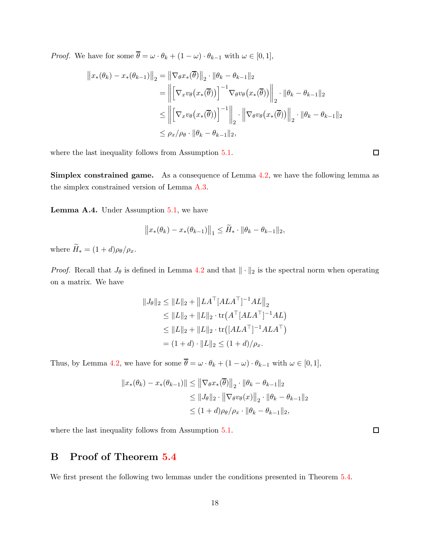*Proof.* We have for some  $\overline{\theta} = \omega \cdot \theta_k + (1 - \omega) \cdot \theta_{k-1}$  with  $\omega \in [0, 1],$ 

$$
\|x_{*}(\theta_{k}) - x_{*}(\theta_{k-1})\|_{2} = \|\nabla_{\theta}x_{*}(\overline{\theta})\|_{2} \cdot \|\theta_{k} - \theta_{k-1}\|_{2}
$$
  
\n
$$
= \left\|\left[\nabla_{x}v_{\theta}(x_{*}(\overline{\theta}))\right]^{-1}\nabla_{\theta}v_{\theta}(x_{*}(\overline{\theta}))\right\|_{2} \cdot \|\theta_{k} - \theta_{k-1}\|_{2}
$$
  
\n
$$
\leq \left\|\left[\nabla_{x}v_{\theta}(x_{*}(\overline{\theta}))\right]^{-1}\right\|_{2} \cdot \left\|\nabla_{\theta}v_{\theta}(x_{*}(\overline{\theta}))\right\|_{2} \cdot \|\theta_{k} - \theta_{k-1}\|_{2}
$$
  
\n
$$
\leq \rho_{x}/\rho_{\theta} \cdot \|\theta_{k} - \theta_{k-1}\|_{2},
$$

where the last inequality follows from Assumption [5.1.](#page-9-0)

Simplex constrained game. As a consequence of Lemma [4.2,](#page-8-0) we have the following lemma as the simplex constrained version of Lemma [A.3.](#page-16-2)

Lemma A.4. Under Assumption [5.1,](#page-9-0) we have

$$
||x_*(\theta_k) - x_*(\theta_{k-1})||_1 \leq \widetilde{H}_* \cdot ||\theta_k - \theta_{k-1}||_2,
$$

where  $\widetilde{H}_* = (1+d)\rho_\theta/\rho_x$ .

*Proof.* Recall that  $J_{\theta}$  is defined in Lemma [4.2](#page-8-0) and that  $\|\cdot\|_2$  is the spectral norm when operating on a matrix. We have

$$
||J_{\theta}||_2 \le ||L||_2 + ||LA^{\top}[ALA^{\top}]^{-1}AL||_2
$$
  
\n
$$
\le ||L||_2 + ||L||_2 \cdot \text{tr}(A^{\top}[ALA^{\top}]^{-1}AL)
$$
  
\n
$$
\le ||L||_2 + ||L||_2 \cdot \text{tr}([ALA^{\top}]^{-1}ALA^{\top})
$$
  
\n
$$
= (1+d) \cdot ||L||_2 \le (1+d)/\rho_x.
$$

Thus, by Lemma [4.2,](#page-8-0) we have for some  $\overline{\theta} = \omega \cdot \theta_k + (1 - \omega) \cdot \theta_{k-1}$  with  $\omega \in [0, 1]$ ,

$$
||x_*(\theta_k) - x_*(\theta_{k-1})|| \le ||\nabla_{\theta} x_*(\overline{\theta})||_2 \cdot ||\theta_k - \theta_{k-1}||_2
$$
  
\n
$$
\le ||J_{\theta}||_2 \cdot ||\nabla_{\theta} v_{\theta}(x)||_2 \cdot ||\theta_k - \theta_{k-1}||_2
$$
  
\n
$$
\le (1 + d)\rho_{\theta} / \rho_x \cdot ||\theta_k - \theta_{k-1}||_2,
$$

<span id="page-17-0"></span>where the last inequality follows from Assumption [5.1.](#page-9-0)

# B Proof of Theorem [5.4](#page-10-0)

<span id="page-17-1"></span>We first present the following two lemmas under the conditions presented in Theorem [5.4.](#page-10-0)

 $\Box$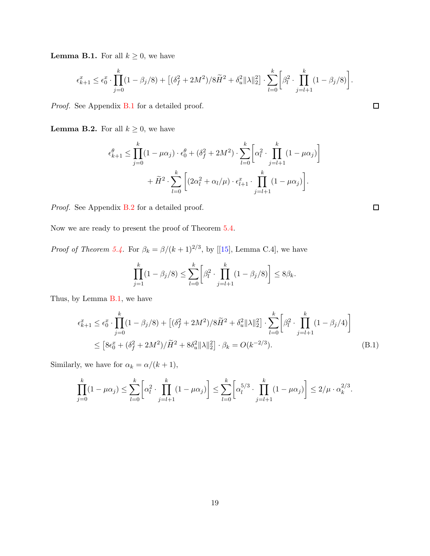**Lemma B.1.** For all  $k \geq 0$ , we have

$$
\epsilon_{k+1}^x \leq \epsilon_0^x \cdot \prod_{j=0}^k (1-\beta_j/8) + \left[ (\delta_f^2 + 2M^2)/8\widetilde{H}^2 + \delta_u^2 \|\lambda\|_2^2 \right] \cdot \sum_{l=0}^k \left[ \beta_l^2 \cdot \prod_{j=l+1}^k (1-\beta_j/8) \right].
$$

<span id="page-18-1"></span>Proof. See Appendix [B.1](#page-19-0) for a detailed proof.

**Lemma B.2.** For all  $k \geq 0$ , we have

$$
\epsilon_{k+1}^{\theta} \le \prod_{j=0}^{k} (1 - \mu \alpha_j) \cdot \epsilon_0^{\theta} + (\delta_f^2 + 2M^2) \cdot \sum_{l=0}^{k} \left[ \alpha_l^2 \cdot \prod_{j=l+1}^{k} (1 - \mu \alpha_j) \right] + \widetilde{H}^2 \cdot \sum_{l=0}^{k} \left[ (2\alpha_l^2 + \alpha_l/\mu) \cdot \epsilon_{l+1}^x \cdot \prod_{j=l+1}^{k} (1 - \mu \alpha_j) \right].
$$

Proof. See Appendix [B.2](#page-22-1) for a detailed proof.

Now we are ready to present the proof of Theorem [5.4.](#page-10-0)

*Proof of Theorem [5.4.](#page-10-0)*For  $\beta_k = \beta/(k+1)^{2/3}$ , by [[\[15](#page-12-12)], Lemma C.4], we have

$$
\prod_{j=1}^{k} (1 - \beta_j/8) \le \sum_{l=0}^{k} \left[ \beta_l^2 \cdot \prod_{j=l+1}^{k} (1 - \beta_j/8) \right] \le 8\beta_k.
$$

Thus, by Lemma [B.1,](#page-17-1) we have

$$
\epsilon_{k+1}^x \le \epsilon_0^x \cdot \prod_{j=0}^k (1 - \beta_j/8) + \left[ (\delta_f^2 + 2M^2)/8\tilde{H}^2 + \delta_u^2 \|\lambda\|_2^2 \right] \cdot \sum_{l=0}^k \left[ \beta_l^2 \cdot \prod_{j=l+1}^k (1 - \beta_j/4) \right]
$$
  
 
$$
\le \left[ 8\epsilon_0^x + (\delta_f^2 + 2M^2)/\tilde{H}^2 + 8\delta_u^2 \|\lambda\|_2^2 \right] \cdot \beta_k = O(k^{-2/3}). \tag{B.1}
$$

Similarly, we have for  $\alpha_k = \alpha/(k+1),$ 

$$
\prod_{j=0}^k (1 - \mu \alpha_j) \le \sum_{l=0}^k \left[ \alpha_l^2 \cdot \prod_{j=l+1}^k (1 - \mu \alpha_j) \right] \le \sum_{l=0}^k \left[ \alpha_l^{5/3} \cdot \prod_{j=l+1}^k (1 - \mu \alpha_j) \right] \le 2/\mu \cdot \alpha_k^{2/3}.
$$

<span id="page-18-0"></span>
$$
\Box
$$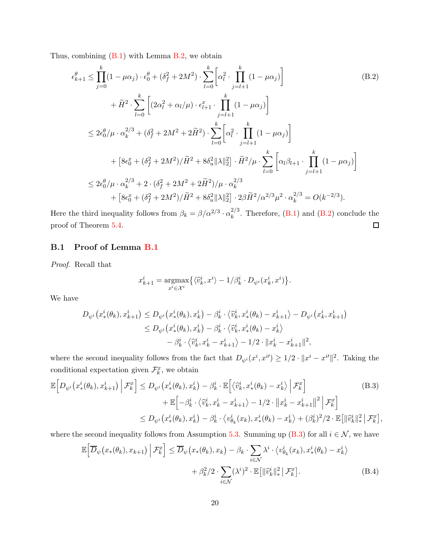Thus, combining [\(B.1\)](#page-18-0) with Lemma [B.2,](#page-18-1) we obtain

<span id="page-19-1"></span>
$$
\epsilon_{k+1}^{\theta} \leq \prod_{j=0}^{k} (1 - \mu \alpha_j) \cdot \epsilon_0^{\theta} + (\delta_f^2 + 2M^2) \cdot \sum_{l=0}^{k} \left[ \alpha_l^2 \cdot \prod_{j=l+1}^{k} (1 - \mu \alpha_j) \right]
$$
\n
$$
+ \tilde{H}^2 \cdot \sum_{l=0}^{k} \left[ (2\alpha_l^2 + \alpha_l/\mu) \cdot \epsilon_{l+1}^x \cdot \prod_{j=l+1}^{k} (1 - \mu \alpha_j) \right]
$$
\n
$$
\leq 2\epsilon_0^{\theta} / \mu \cdot \alpha_k^{2/3} + (\delta_f^2 + 2M^2 + 2\tilde{H}^2) \cdot \sum_{l=0}^{k} \left[ \alpha_l^2 \cdot \prod_{j=l+1}^{k} (1 - \mu \alpha_j) \right]
$$
\n
$$
+ \left[ 8\epsilon_0^x + (\delta_f^2 + 2M^2)/\tilde{H}^2 + 8\delta_u^2 ||\lambda||_2^2 \right] \cdot \tilde{H}^2 / \mu \cdot \sum_{l=0}^{k} \left[ \alpha_l \beta_{l+1} \cdot \prod_{j=l+1}^{k} (1 - \mu \alpha_j) \right]
$$
\n
$$
\leq 2\epsilon_0^{\theta} / \mu \cdot \alpha_k^{2/3} + 2 \cdot (\delta_f^2 + 2M^2 + 2\tilde{H}^2) / \mu \cdot \alpha_k^{2/3}
$$
\n
$$
+ \left[ 8\epsilon_0^x + (\delta_f^2 + 2M^2)/\tilde{H}^2 + 8\delta_u^2 ||\lambda||_2^2 \right] \cdot 2\beta \tilde{H}^2 / \alpha^{2/3} \mu^2 \cdot \alpha_k^{2/3} = O(k^{-2/3}).
$$
\n(3.2)

<span id="page-19-0"></span>Here the third inequality follows from  $\beta_k = \beta/\alpha^{2/3} \cdot \alpha_k^{2/3}$  $\binom{2}{k}$ . Therefore, [\(B.1\)](#page-18-0) and [\(B.2\)](#page-19-1) conclude the  $\Box$ proof of Theorem [5.4.](#page-10-0)

### B.1 Proof of Lemma [B.1](#page-17-1)

Proof. Recall that

<span id="page-19-2"></span>
$$
x_{k+1}^i = \underset{x^i \in \mathcal{X}^i}{\operatorname{argmax}} \big\{ \langle \widehat{v}_k^i, x^i \rangle - 1/\beta_k^i \cdot D_{\psi^i}(x_k^i, x^i) \big\}.
$$

We have

$$
D_{\psi^{i}}(x_{*}^{i}(\theta_{k}), x_{k+1}^{i}) \leq D_{\psi^{i}}(x_{*}^{i}(\theta_{k}), x_{k}^{i}) - \beta_{k}^{i} \cdot \langle \hat{v}_{k}^{i}, x_{*}^{i}(\theta_{k}) - x_{k+1}^{i} \rangle - D_{\psi^{i}}(x_{k}^{i}, x_{k+1}^{i})
$$
  

$$
\leq D_{\psi^{i}}(x_{*}^{i}(\theta_{k}), x_{k}^{i}) - \beta_{k}^{i} \cdot \langle \hat{v}_{k}^{i}, x_{*}^{i}(\theta_{k}) - x_{k}^{i} \rangle
$$
  

$$
- \beta_{k}^{i} \cdot \langle \hat{v}_{k}^{i}, x_{k}^{i} - x_{k+1}^{i} \rangle - 1/2 \cdot ||x_{k}^{i} - x_{k+1}^{i}||^{2},
$$

where the second inequality follows from the fact that  $D_{\psi^i}(x^i, x^{i'}) \geq 1/2 \cdot ||x^i - x^{i'}||^2$ . Taking the conditional expectation given  $\mathcal{F}_k^x$ , we obtain

$$
\mathbb{E}\Big[D_{\psi^{i}}\big(x_{*}^{i}(\theta_{k}), x_{k+1}^{i}\big) \Big| \mathcal{F}_{k}^{x}\Big] \leq D_{\psi^{i}}\big(x_{*}^{i}(\theta_{k}), x_{k}^{i}\big) - \beta_{k}^{i} \cdot \mathbb{E}\Big[\big\langle\widehat{v}_{k}^{i}, x_{*}^{i}(\theta_{k}) - x_{k}^{i}\big\rangle \Big| \mathcal{F}_{k}^{x}\Big] \n+ \mathbb{E}\Big[-\beta_{k}^{i} \cdot \big\langle\widehat{v}_{k}^{i}, x_{k}^{i} - x_{k+1}^{i}\big\rangle - 1/2 \cdot \|x_{k}^{i} - x_{k+1}^{i}\|^2 \Big| \mathcal{F}_{k}^{x}\Big] \n\leq D_{\psi^{i}}\big(x_{*}^{i}(\theta_{k}), x_{k}^{i}\big) - \beta_{k}^{i} \cdot \big\langle v_{\theta_{k}}^{i}(x_{k}), x_{*}^{i}(\theta_{k}) - x_{k}^{i}\big\rangle + (\beta_{k}^{i})^{2}/2 \cdot \mathbb{E}\big[\|\widehat{v}_{k}^{i}\|_{*}^{2}\big| \mathcal{F}_{k}^{x}\big],
$$
\n(B.3)

where the second inequality follows from Assumption [5.3.](#page-9-2) Summing up [\(B.3\)](#page-19-2) for all  $i \in \mathcal{N}$ , we have

<span id="page-19-3"></span>
$$
\mathbb{E}\Big[\overline{D}_{\psi}\big(x_{*}(\theta_{k}), x_{k+1}\big) \Big| \mathcal{F}_{k}^{x}\Big] \leq \overline{D}_{\psi}\big(x_{*}(\theta_{k}), x_{k}\big) - \beta_{k} \cdot \sum_{i \in \mathcal{N}} \lambda^{i} \cdot \langle v_{\theta_{k}}^{i}(x_{k}), x_{*}^{i}(\theta_{k}) - x_{k}^{i} \rangle + \beta_{k}^{2} / 2 \cdot \sum_{i \in \mathcal{N}} (\lambda^{i})^{2} \cdot \mathbb{E}\big[\|\widehat{v}_{k}^{i}\|_{*}^{2} \Big| \mathcal{F}_{k}^{x}\big].
$$
\n(B.4)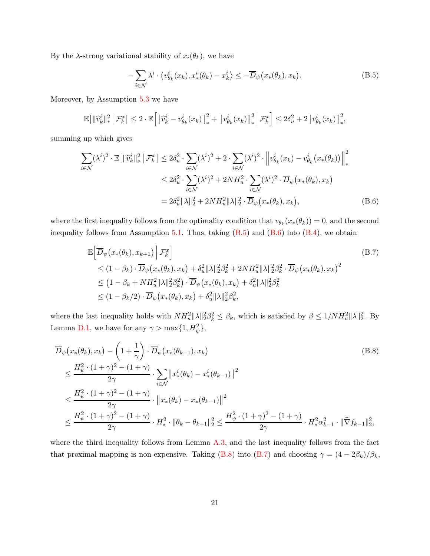By the  $\lambda$ -strong variational stability of  $x_i(\theta_k)$ , we have

<span id="page-20-1"></span><span id="page-20-0"></span>
$$
-\sum_{i\in\mathcal{N}}\lambda^i \cdot \langle v^i_{\theta_k}(x_k), x^i_*(\theta_k) - x^i_k \rangle \le -\overline{D}_{\psi}\big(x_*(\theta_k), x_k\big). \tag{B.5}
$$

Moreover, by Assumption [5.3](#page-9-2) we have

$$
\mathbb{E}\!\left[\|\widehat{v}_k^i\|_*^2\,\big|\,\mathcal{F}_k^x\right]\le 2\cdot \mathbb{E}\!\left[\left\|\widehat{v}_k^i-v^i_{\theta_k}(x_k)\right\|_*^2+\left\|v^i_{\theta_k}(x_k)\right\|_*^2\,\middle|\,\mathcal{F}_k^x\right]\le 2\delta_u^2+2\big\|v^i_{\theta_k}(x_k)\big\|_*^2,
$$

summing up which gives

$$
\sum_{i \in \mathcal{N}} (\lambda^i)^2 \cdot \mathbb{E} \left[ \|\widehat{v}_k^i\|_*^2 \, \big| \, \mathcal{F}_k^x \right] \le 2\delta_u^2 \cdot \sum_{i \in \mathcal{N}} (\lambda^i)^2 + 2 \cdot \sum_{i \in \mathcal{N}} (\lambda^i)^2 \cdot \left\| v_{\theta_k}^i(x_k) - v_{\theta_k}^i(x_*(\theta_k)) \right\|_*^2
$$
\n
$$
\le 2\delta_u^2 \cdot \sum_{i \in \mathcal{N}} (\lambda^i)^2 + 2NH_u^2 \cdot \sum_{i \in \mathcal{N}} (\lambda^i)^2 \cdot \overline{D}_{\psi}(x_*(\theta_k), x_k)
$$
\n
$$
= 2\delta_u^2 \|\lambda\|_2^2 + 2NH_u^2 \|\lambda\|_2^2 \cdot \overline{D}_{\psi}(x_*(\theta_k), x_k), \tag{B.6}
$$

where the first inequality follows from the optimality condition that  $v_{\theta_k}(x_*(\theta_k)) = 0$ , and the second inequality follows from Assumption [5.1.](#page-9-0) Thus, taking  $(B.5)$  and  $(B.6)$  into  $(B.4)$ , we obtain

<span id="page-20-3"></span><span id="page-20-2"></span>
$$
\mathbb{E}\Big[\overline{D}_{\psi}\big(x_{*}(\theta_{k}), x_{k+1}\big) \Big| \mathcal{F}_{k}^{x}\Big] \tag{B.7}
$$
\n
$$
\leq (1 - \beta_{k}) \cdot \overline{D}_{\psi}\big(x_{*}(\theta_{k}), x_{k}\big) + \delta_{u}^{2} \|\lambda\|_{2}^{2} \beta_{k}^{2} + 2NH_{u}^{2} \|\lambda\|_{2}^{2} \beta_{k}^{2} \cdot \overline{D}_{\psi}\big(x_{*}(\theta_{k}), x_{k}\big)^{2}
$$
\n
$$
\leq (1 - \beta_{k} + NH_{u}^{2} \|\lambda\|_{2}^{2} \beta_{k}^{2}) \cdot \overline{D}_{\psi}\big(x_{*}(\theta_{k}), x_{k}\big) + \delta_{u}^{2} \|\lambda\|_{2}^{2} \beta_{k}^{2}
$$
\n
$$
\leq (1 - \beta_{k}/2) \cdot \overline{D}_{\psi}\big(x_{*}(\theta_{k}), x_{k}\big) + \delta_{u}^{2} \|\lambda\|_{2}^{2} \beta_{k}^{2},
$$

where the last inequality holds with  $NH_u^2\|\lambda\|_2^2\beta_k^2 \leq \beta_k$ , which is satisfied by  $\beta \leq 1/NH_u^2\|\lambda\|_2^2$ . By Lemma [D.1,](#page-28-0) we have for any  $\gamma > \max\{1, H_{\psi}^2\},\$ 

$$
\overline{D}_{\psi}\left(x_{*}(\theta_{k}), x_{k}\right) - \left(1 + \frac{1}{\gamma}\right) \cdot \overline{D}_{\psi}\left(x_{*}(\theta_{k-1}), x_{k}\right) \n\leq \frac{H_{\psi}^{2} \cdot (1 + \gamma)^{2} - (1 + \gamma)}{2\gamma} \cdot \sum_{i \in \mathcal{N}} \left\|x_{*}^{i}(\theta_{k}) - x_{*}^{i}(\theta_{k-1})\right\|^{2} \n\leq \frac{H_{\psi}^{2} \cdot (1 + \gamma)^{2} - (1 + \gamma)}{2\gamma} \cdot \left\|x_{*}(\theta_{k}) - x_{*}(\theta_{k-1})\right\|^{2} \n\leq \frac{H_{\psi}^{2} \cdot (1 + \gamma)^{2} - (1 + \gamma)}{2\gamma} \cdot H_{*}^{2} \cdot \|\theta_{k} - \theta_{k-1}\|_{2}^{2} \leq \frac{H_{\psi}^{2} \cdot (1 + \gamma)^{2} - (1 + \gamma)}{2\gamma} \cdot H_{*}^{2} \alpha_{k-1}^{2} \cdot \|\widehat{\nabla}f_{k-1}\|_{2}^{2},
$$
\n(6.8)

where the third inequality follows from Lemma  $A.3$ , and the last inequality follows from the fact that proximal mapping is non-expensive. Taking [\(B.8\)](#page-20-2) into [\(B.7\)](#page-20-3) and choosing  $\gamma = (4 - 2\beta_k)/\beta_k$ ,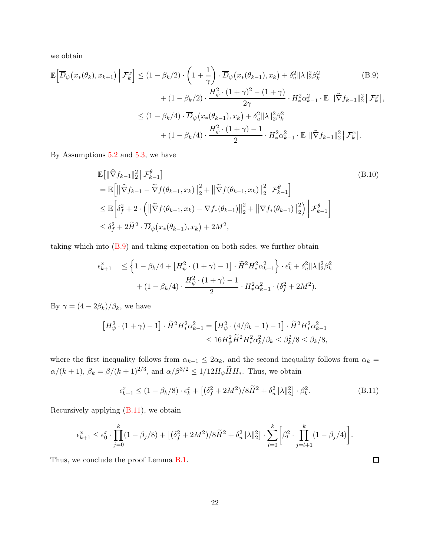we obtain

$$
\mathbb{E}\left[\overline{D}_{\psi}\left(x_{*}(\theta_{k}), x_{k+1}\right) \Big| \mathcal{F}_{k}^{x}\right] \leq (1 - \beta_{k}/2) \cdot \left(1 + \frac{1}{\gamma}\right) \cdot \overline{D}_{\psi}\left(x_{*}(\theta_{k-1}), x_{k}\right) + \delta_{u}^{2} \|\lambda\|_{2}^{2} \beta_{k}^{2} \tag{B.9}
$$
\n
$$
+ (1 - \beta_{k}/2) \cdot \frac{H_{\psi}^{2} \cdot (1 + \gamma)^{2} - (1 + \gamma)}{2\gamma} \cdot H_{*}^{2} \alpha_{k-1}^{2} \cdot \mathbb{E}\left[\|\widehat{\nabla}f_{k-1}\|_{2}^{2}\right] \mathcal{F}_{k}^{x}\right],
$$
\n
$$
\leq (1 - \beta_{k}/4) \cdot \overline{D}_{\psi}\left(x_{*}(\theta_{k-1}), x_{k}\right) + \delta_{u}^{2} \|\lambda\|_{2}^{2} \beta_{k}^{2} \tag{B.9}
$$
\n
$$
+ (1 - \beta_{k}/4) \cdot \frac{H_{\psi}^{2} \cdot (1 + \gamma) - 1}{2} \cdot H_{*}^{2} \alpha_{k-1}^{2} \cdot \mathbb{E}\left[\|\widehat{\nabla}f_{k-1}\|_{2}^{2}\right] \mathcal{F}_{k}^{x}].
$$

By Assumptions [5.2](#page-9-1) and [5.3,](#page-9-2) we have

<span id="page-21-2"></span><span id="page-21-0"></span>
$$
\mathbb{E}[\|\widehat{\nabla} f_{k-1}\|_{2}^{2} | \mathcal{F}_{k-1}^{\theta}]
$$
\n
$$
= \mathbb{E}\Big[\|\widehat{\nabla} f_{k-1} - \widetilde{\nabla} f(\theta_{k-1}, x_{k})\|_{2}^{2} + \|\widetilde{\nabla} f(\theta_{k-1}, x_{k})\|_{2}^{2} | \mathcal{F}_{k-1}^{\theta}]
$$
\n
$$
\leq \mathbb{E}\Big[\delta_{f}^{2} + 2 \cdot \left(\|\widetilde{\nabla} f(\theta_{k-1}, x_{k}) - \nabla f_{*}(\theta_{k-1})\|_{2}^{2} + \|\nabla f_{*}(\theta_{k-1})\|_{2}^{2}\right) | \mathcal{F}_{k-1}^{\theta}\Big]
$$
\n
$$
\leq \delta_{f}^{2} + 2\widetilde{H}^{2} \cdot \overline{D}_{\psi}\big(x_{*}(\theta_{k-1}), x_{k}\big) + 2M^{2},
$$
\n(B.10)

taking which into  $(B.9)$  and taking expectation on both sides, we further obtain

$$
\epsilon_{k+1}^x \le \left\{ 1 - \beta_k/4 + \left[ H_\psi^2 \cdot (1 + \gamma) - 1 \right] \cdot \tilde{H}^2 H_*^2 \alpha_{k-1}^2 \right\} \cdot \epsilon_k^x + \delta_u^2 ||\lambda||_2^2 \beta_k^2 + (1 - \beta_k/4) \cdot \frac{H_\psi^2 \cdot (1 + \gamma) - 1}{2} \cdot H_*^2 \alpha_{k-1}^2 \cdot (\delta_f^2 + 2M^2).
$$

By  $\gamma = (4 - 2\beta_k)/\beta_k$ , we have

$$
\begin{aligned} \left[H_{\psi}^2 \cdot (1+\gamma) - 1\right] \cdot \widetilde{H}^2 H_*^2 \alpha_{k-1}^2 &= \left[H_{\psi}^2 \cdot (4/\beta_k - 1) - 1\right] \cdot \widetilde{H}^2 H_*^2 \alpha_{k-1}^2 \\ &\leq 16 H_{\psi}^2 \widetilde{H}^2 H_*^2 \alpha_k^2 / \beta_k \leq \beta_k^2 / 8 \leq \beta_k / 8, \end{aligned}
$$

where the first inequality follows from  $\alpha_{k-1} \leq 2\alpha_k$ , and the second inequality follows from  $\alpha_k =$  $\alpha/(k+1)$ ,  $\beta_k = \beta/(k+1)^{2/3}$ , and  $\alpha/\beta^{3/2} \leq 1/12H_\psi \tilde{H}H_*$ . Thus, we obtain

<span id="page-21-1"></span>
$$
\epsilon_{k+1}^x \le (1 - \beta_k/8) \cdot \epsilon_k^x + \left[ (\delta_f^2 + 2M^2)/8\tilde{H}^2 + \delta_u^2 ||\lambda||_2^2 \right] \cdot \beta_k^2. \tag{B.11}
$$

Recursively applying [\(B.11\)](#page-21-1), we obtain

$$
\epsilon_{k+1}^x \leq \epsilon_0^x \cdot \prod_{j=0}^k (1-\beta_j/8) + \left[ (\delta_f^2 + 2M^2)/8\widetilde{H}^2 + \delta_u^2 \|\lambda\|_2^2 \right] \cdot \sum_{l=0}^k \bigg[ \beta_l^2 \cdot \prod_{j=l+1}^k (1-\beta_j/4) \bigg].
$$

Thus, we conclude the proof Lemma [B.1.](#page-17-1)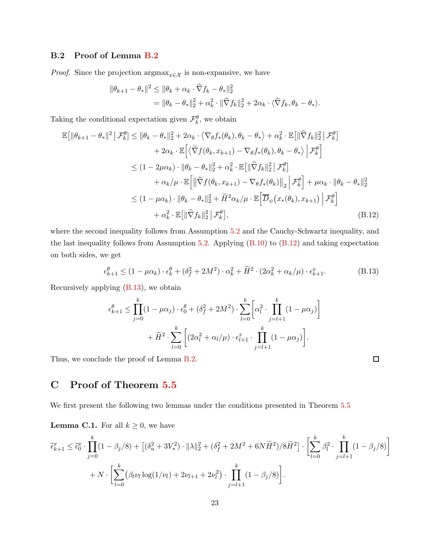### <span id="page-22-1"></span>B.2 Proof of Lemma [B.2](#page-18-1)

*Proof.* Since the projection  $\arg\max_{x \in \mathcal{X}}$  is non-expansive, we have

$$
\|\theta_{k+1} - \theta_*\|^2 \le \|\theta_k + \alpha_k \cdot \widehat{\nabla} f_k - \theta_*\|^2_2
$$
  
=  $\|\theta_k - \theta_*\|^2_2 + \alpha_k^2 \cdot \|\widehat{\nabla} f_k\|^2_2 + 2\alpha_k \cdot \langle \widehat{\nabla} f_k, \theta_k - \theta_* \rangle.$ 

Taking the conditional expectation given  $\mathcal{F}_k^{\theta}$ , we obtain

$$
\mathbb{E}\left[\|\theta_{k+1}-\theta_{*}\|^{2} \mid \mathcal{F}_{k}^{\theta}\right] \leq \|\theta_{k}-\theta_{*}\|_{2}^{2} + 2\alpha_{k} \cdot \langle \nabla_{\theta} f_{*}(\theta_{k}), \theta_{k}-\theta_{*} \rangle + \alpha_{k}^{2} \cdot \mathbb{E}\left[\|\widehat{\nabla} f_{k}\|_{2}^{2} \mid \mathcal{F}_{k}^{\theta}\right] \n+ 2\alpha_{k} \cdot \mathbb{E}\left[\langle \widetilde{\nabla} f(\theta_{k}, x_{k+1}) - \nabla_{\theta} f_{*}(\theta_{k}), \theta_{k}-\theta_{*} \rangle \middle| \mathcal{F}_{k}^{\theta}\right] \n\leq (1 - 2\mu\alpha_{k}) \cdot \|\theta_{k}-\theta_{*}\|_{2}^{2} + \alpha_{k}^{2} \cdot \mathbb{E}\left[\|\widehat{\nabla} f_{k}\|_{2}^{2} \mid \mathcal{F}_{k}^{\theta}\right] \n+ \alpha_{k}/\mu \cdot \mathbb{E}\left[\|\widetilde{\nabla} f(\theta_{k}, x_{k+1}) - \nabla_{\theta} f_{*}(\theta_{k})\right\|_{2} \left|\mathcal{F}_{k}^{\theta}\right] + \mu\alpha_{k} \cdot \|\theta_{k}-\theta_{*}\|_{2}^{2} \n\leq (1 - \mu\alpha_{k}) \cdot \|\theta_{k}-\theta_{*}\|_{2}^{2} + \widetilde{H}^{2}\alpha_{k}/\mu \cdot \mathbb{E}\left[\overline{D}_{\psi}\left(x_{*}(\theta_{k}), x_{k+1}\right) \middle| \mathcal{F}_{k}^{\theta}\right] \n+ \alpha_{k}^{2} \cdot \mathbb{E}\left[\|\widehat{\nabla} f_{k}\|_{2}^{2} \mid \mathcal{F}_{k}^{\theta}\right],
$$
\n(B.12)

where the second inequality follows from Assumption [5.2](#page-9-1) and the Cauchy-Schwartz inequality, and the last inequality follows from Assumption [5.2.](#page-9-1) Applying  $(B.10)$  to  $(B.12)$  and taking expectation on both sides, we get

$$
\epsilon_{k+1}^{\theta} \le (1 - \mu \alpha_k) \cdot \epsilon_k^{\theta} + (\delta_f^2 + 2M^2) \cdot \alpha_k^2 + \widetilde{H}^2 \cdot (2\alpha_k^2 + \alpha_k/\mu) \cdot \epsilon_{k+1}^x. \tag{B.13}
$$

<span id="page-22-3"></span><span id="page-22-2"></span> $\Box$ 

Recursively applying [\(B.13\)](#page-22-3), we obtain

$$
\epsilon_{k+1}^{\theta} \le \prod_{j=0}^{k} (1 - \mu \alpha_j) \cdot \epsilon_0^{\theta} + (\delta_f^2 + 2M^2) \cdot \sum_{l=0}^{k} \left[ \alpha_l^2 \cdot \prod_{j=l+1}^{k} (1 - \mu \alpha_j) \right] + \widetilde{H}^2 \cdot \sum_{l=0}^{k} \left[ (2\alpha_l^2 + \alpha_l/\mu) \cdot \epsilon_{l+1}^x \cdot \prod_{j=l+1}^{k} (1 - \mu \alpha_j) \right].
$$

<span id="page-22-0"></span>Thus, we conclude the proof of Lemma [B.2.](#page-18-1)

C Proof of Theorem [5.5](#page-11-3)

<span id="page-22-4"></span>We first present the following two lemmas under the conditions presented in Theorem [5.5](#page-11-3)

**Lemma C.1.** For all  $k \geq 0$ , we have

$$
\tilde{\epsilon}_{k+1}^x \leq \tilde{\epsilon}_0^x \cdot \prod_{j=0}^k (1 - \beta_j/8) + \left[ (\delta_u^2 + 3V_*^2) \cdot \|\lambda\|_2^2 + (\delta_f^2 + 2M^2 + 6N\tilde{H}^2)/8\tilde{H}^2 \right] \cdot \left[ \sum_{l=0}^k \beta_l^2 \cdot \prod_{j=l+1}^k (1 - \beta_j/8) \right] + N \cdot \left[ \sum_{l=0}^k (\beta_l \nu_l \log(1/\nu_l) + 2\nu_{l+1} + 2\nu_l^2) \cdot \prod_{j=l+1}^k (1 - \beta_j/8) \right].
$$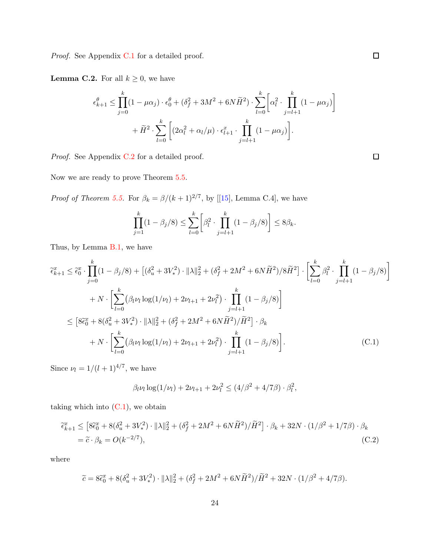<span id="page-23-2"></span>Proof. See Appendix [C.1](#page-24-0) for a detailed proof.

**Lemma C.2.** For all  $k \geq 0$ , we have

$$
\epsilon_{k+1}^{\theta} \le \prod_{j=0}^{k} (1 - \mu \alpha_j) \cdot \epsilon_0^{\theta} + (\delta_f^2 + 3M^2 + 6N\widetilde{H}^2) \cdot \sum_{l=0}^{k} \left[ \alpha_l^2 \cdot \prod_{j=l+1}^{k} (1 - \mu \alpha_j) \right] + \widetilde{H}^2 \cdot \sum_{l=0}^{k} \left[ (2\alpha_l^2 + \alpha_l/\mu) \cdot \epsilon_{l+1}^x \cdot \prod_{j=l+1}^{k} (1 - \mu \alpha_j) \right].
$$

Proof. See Appendix [C.2](#page-28-1) for a detailed proof.

Now we are ready to prove Theorem [5.5.](#page-11-3)

*Proof of Theorem [5.5.](#page-11-3)*For  $\beta_k = \frac{\beta}{(k+1)^{2/7}}$ , by [[\[15](#page-12-12)], Lemma C.4], we have

$$
\prod_{j=1}^{k} (1 - \beta_j/8) \le \sum_{l=0}^{k} \left[ \beta_l^2 \cdot \prod_{j=l+1}^{k} (1 - \beta_j/8) \right] \le 8\beta_k.
$$

Thus, by Lemma [B.1,](#page-17-1) we have

$$
\widetilde{\epsilon}_{k+1}^{x} \leq \widetilde{\epsilon}_{0}^{x} \cdot \prod_{j=0}^{k} (1 - \beta_{j}/8) + \left[ (\delta_{u}^{2} + 3V_{*}^{2}) \cdot ||\lambda||_{2}^{2} + (\delta_{f}^{2} + 2M^{2} + 6N\widetilde{H}^{2})/8\widetilde{H}^{2} \right] \cdot \left[ \sum_{l=0}^{k} \beta_{l}^{2} \cdot \prod_{j=l+1}^{k} (1 - \beta_{j}/8) \right]
$$
\n
$$
+ N \cdot \left[ \sum_{l=0}^{k} (\beta_{l}\nu_{l}\log(1/\nu_{l}) + 2\nu_{l+1} + 2\nu_{l}^{2}) \cdot \prod_{j=l+1}^{k} (1 - \beta_{j}/8) \right]
$$
\n
$$
\leq \left[ 8\widetilde{\epsilon}_{0}^{x} + 8(\delta_{u}^{2} + 3V_{*}^{2}) \cdot ||\lambda||_{2}^{2} + (\delta_{f}^{2} + 2M^{2} + 6N\widetilde{H}^{2})/\widetilde{H}^{2} \right] \cdot \beta_{k}
$$
\n
$$
+ N \cdot \left[ \sum_{l=0}^{k} (\beta_{l}\nu_{l}\log(1/\nu_{l}) + 2\nu_{l+1} + 2\nu_{l}^{2}) \cdot \prod_{j=l+1}^{k} (1 - \beta_{j}/8) \right].
$$
\n(C.1)

Since  $\nu_l = 1/(l+1)^{4/7}$ , we have

<span id="page-23-1"></span><span id="page-23-0"></span>
$$
\beta_l \nu_l \log(1/\nu_l) + 2\nu_{l+1} + 2\nu_l^2 \le (4/\beta^2 + 4/7\beta) \cdot \beta_l^2,
$$

taking which into  $(C.1)$ , we obtain

$$
\begin{split} \tilde{\epsilon}_{k+1}^x &\leq \left[ 8\tilde{\epsilon}_0^x + 8(\delta_u^2 + 3V_*^2) \cdot \|\lambda\|_2^2 + (\delta_f^2 + 2M^2 + 6N\tilde{H}^2) / \tilde{H}^2 \right] \cdot \beta_k + 32N \cdot (1/\beta^2 + 1/7\beta) \cdot \beta_k \\ &= \tilde{c} \cdot \beta_k = O(k^{-2/7}), \end{split} \tag{C.2}
$$

where

$$
\widetilde{c} = 8\widetilde{\epsilon}_0^x + 8(\delta_u^2 + 3V_*^2) \cdot ||\lambda||_2^2 + (\delta_f^2 + 2M^2 + 6N\widetilde{H}^2)/\widetilde{H}^2 + 32N \cdot (1/\beta^2 + 4/7\beta).
$$

 $\Box$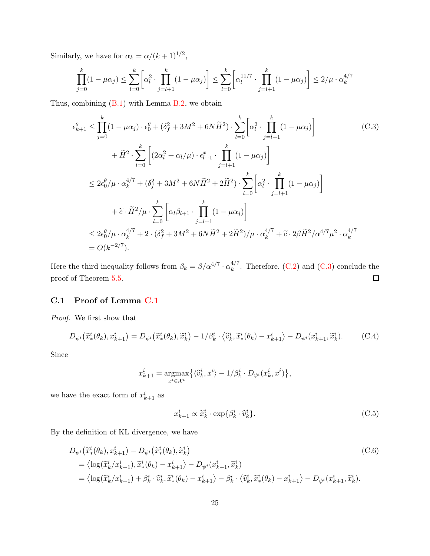Similarly, we have for  $\alpha_k = \alpha/(k+1)^{1/2}$ ,

<span id="page-24-1"></span>
$$
\prod_{j=0}^k (1 - \mu \alpha_j) \le \sum_{l=0}^k \left[ \alpha_l^2 \cdot \prod_{j=l+1}^k (1 - \mu \alpha_j) \right] \le \sum_{l=0}^k \left[ \alpha_l^{11/7} \cdot \prod_{j=l+1}^k (1 - \mu \alpha_j) \right] \le 2/\mu \cdot \alpha_k^{4/7}
$$

Thus, combining [\(B.1\)](#page-18-0) with Lemma [B.2,](#page-18-1) we obtain

$$
\epsilon_{k+1}^{\theta} \leq \prod_{j=0}^{k} (1 - \mu \alpha_j) \cdot \epsilon_0^{\theta} + (\delta_f^2 + 3M^2 + 6N\tilde{H}^2) \cdot \sum_{l=0}^{k} \left[ \alpha_l^2 \cdot \prod_{j=l+1}^{k} (1 - \mu \alpha_j) \right]
$$
(C.3)  
+  $\tilde{H}^2 \cdot \sum_{l=0}^{k} \left[ (2\alpha_l^2 + \alpha_l/\mu) \cdot \epsilon_{l+1}^x \cdot \prod_{j=l+1}^{k} (1 - \mu \alpha_j) \right]$   

$$
\leq 2\epsilon_0^{\theta} / \mu \cdot \alpha_k^{4/7} + (\delta_f^2 + 3M^2 + 6N\tilde{H}^2 + 2\tilde{H}^2) \cdot \sum_{l=0}^{k} \left[ \alpha_l^2 \cdot \prod_{j=l+1}^{k} (1 - \mu \alpha_j) \right]
$$
  
+  $\tilde{c} \cdot \tilde{H}^2 / \mu \cdot \sum_{l=0}^{k} \left[ \alpha_l \beta_{l+1} \cdot \prod_{j=l+1}^{k} (1 - \mu \alpha_j) \right]$   

$$
\leq 2\epsilon_0^{\theta} / \mu \cdot \alpha_k^{4/7} + 2 \cdot (\delta_f^2 + 3M^2 + 6N\tilde{H}^2 + 2\tilde{H}^2) / \mu \cdot \alpha_k^{4/7} + \tilde{c} \cdot 2\beta \tilde{H}^2 / \alpha^{4/7} \mu^2 \cdot \alpha_k^{4/7}
$$
  
=  $O(k^{-2/7}).$ 

<span id="page-24-0"></span>Here the third inequality follows from  $\beta_k = \beta / \alpha^{4/7} \cdot \alpha_k^{4/7}$  $\binom{4}{k}$ . Therefore, [\(C.2\)](#page-23-1) and [\(C.3\)](#page-24-1) conclude the  $\Box$ proof of Theorem [5.5.](#page-11-3)

### C.1 Proof of Lemma [C.1](#page-22-4)

Proof. We first show that

<span id="page-24-4"></span>
$$
D_{\psi^i}(\widetilde{x}^i_*(\theta_k), x^i_{k+1}) = D_{\psi^i}(\widetilde{x}^i_*(\theta_k), \widetilde{x}^i_k) - 1/\beta^i_k \cdot \langle \widetilde{v}^i_k, \widetilde{x}^i_*(\theta_k) - x^i_{k+1} \rangle - D_{\psi^i}(x^i_{k+1}, \widetilde{x}^i_k). \tag{C.4}
$$

Since

$$
x_{k+1}^i = \underset{x^i \in \mathcal{X}^i}{\text{argmax}} \big\{ \langle \hat{v}_k^i, x^i \rangle - 1/\beta_k^i \cdot D_{\psi^i}(x_k^i, x^i) \big\},
$$

we have the exact form of  $x_{k+1}^i$  as

<span id="page-24-3"></span><span id="page-24-2"></span>
$$
x_{k+1}^i \propto \widetilde{x}_k^i \cdot \exp\{\beta_k^i \cdot \widehat{v}_k^i\}.
$$
 (C.5)

By the definition of KL divergence, we have

$$
D_{\psi^i}(\widetilde{x}^i_*(\theta_k), x^i_{k+1}) - D_{\psi^i}(\widetilde{x}^i_*(\theta_k), \widetilde{x}^i_k)
$$
  
\n
$$
= \langle \log(\widetilde{x}^i_k/x^i_{k+1}), \widetilde{x}^i_*(\theta_k) - x^i_{k+1} \rangle - D_{\psi^i}(x^i_{k+1}, \widetilde{x}^i_k)
$$
  
\n
$$
= \langle \log(\widetilde{x}^i_k/x^i_{k+1}) + \beta^i_k \cdot \widetilde{v}^i_k, \widetilde{x}^i_*(\theta_k) - x^i_{k+1} \rangle - \beta^i_k \cdot \langle \widetilde{v}^i_k, \widetilde{x}^i_*(\theta_k) - x^i_{k+1} \rangle - D_{\psi^i}(x^i_{k+1}, \widetilde{x}^i_k).
$$
\n(C.6)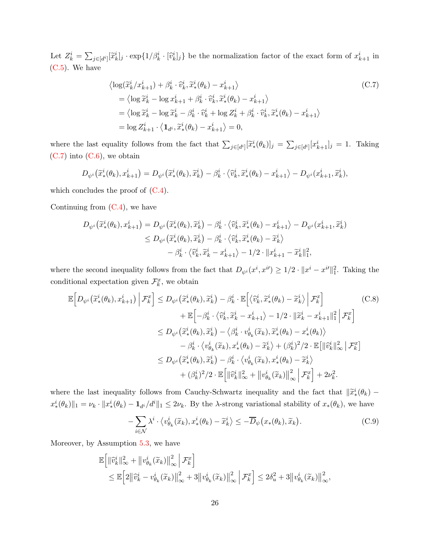Let  $Z_k^i = \sum_{j \in [d^i]} [\tilde{x}_k^i]_j \cdot \exp\{1/\beta_k^i \cdot [\tilde{v}_k^i]_j\}$  be the normalization factor of the exact form of  $x_{k+1}^i$  in [\(C.5\)](#page-24-2). We have

<span id="page-25-0"></span>
$$
\langle \log(\widetilde{x}_{k}^{i}/x_{k+1}^{i}) + \beta_{k}^{i} \cdot \widetilde{v}_{k}^{i}, \widetilde{x}_{*}^{i}(\theta_{k}) - x_{k+1}^{i} \rangle
$$
\n
$$
= \langle \log \widetilde{x}_{k}^{i} - \log x_{k+1}^{i} + \beta_{k}^{i} \cdot \widetilde{v}_{k}^{i}, \widetilde{x}_{*}^{i}(\theta_{k}) - x_{k+1}^{i} \rangle
$$
\n
$$
= \langle \log \widetilde{x}_{k}^{i} - \log \widetilde{x}_{k}^{i} - \beta_{k}^{i} \cdot \widetilde{v}_{k}^{i} + \log Z_{k}^{i} + \beta_{k}^{i} \cdot \widetilde{v}_{k}^{i}, \widetilde{x}_{*}^{i}(\theta_{k}) - x_{k+1}^{i} \rangle
$$
\n
$$
= \log Z_{k+1}^{i} \cdot \langle \mathbf{1}_{d^{i}}, \widetilde{x}_{*}^{i}(\theta_{k}) - x_{k+1}^{i} \rangle = 0,
$$
\n(C.7)

where the last equality follows from the fact that  $\sum_{j\in[d^i]} [\tilde{x}_*^i(\theta_k)]_j = \sum_{j\in[d^i]} [x_{k+1}^i]_j = 1$ . Taking  $(C.7)$  into  $(C.6)$ , we obtain

$$
D_{\psi^i}(\widetilde{x}^i_*(\theta_k), x^i_{k+1}) = D_{\psi^i}(\widetilde{x}^i_*(\theta_k), \widetilde{x}^i_k) - \beta^i_k \cdot \langle \widetilde{v}^i_k, \widetilde{x}^i_*(\theta_k) - x^i_{k+1} \rangle - D_{\psi^i}(x^i_{k+1}, \widetilde{x}^i_k),
$$

which concludes the proof of  $(C.4)$ .

Continuing from  $(C.4)$ , we have

$$
D_{\psi^i}(\widetilde{x}^i_*(\theta_k), x^i_{k+1}) = D_{\psi^i}(\widetilde{x}^i_*(\theta_k), \widetilde{x}^i_k) - \beta^i_k \cdot \langle \widetilde{v}^i_k, \widetilde{x}^i_*(\theta_k) - x^i_{k+1} \rangle - D_{\psi^i}(x^i_{k+1}, \widetilde{x}^i_k)
$$
  

$$
\leq D_{\psi^i}(\widetilde{x}^i_*(\theta_k), \widetilde{x}^i_k) - \beta^i_k \cdot \langle \widetilde{v}^i_k, \widetilde{x}^i_*(\theta_k) - \widetilde{x}^i_k \rangle
$$
  

$$
- \beta^i_k \cdot \langle \widetilde{v}^i_k, \widetilde{x}^i_k - x^i_{k+1} \rangle - 1/2 \cdot ||x^i_{k+1} - \widetilde{x}^i_k||_1^2,
$$

where the second inequality follows from the fact that  $D_{\psi^i}(x^i, x^{i'}) \geq 1/2 \cdot ||x^i - x^{i'}||_1^2$ . Taking the conditional expectation given  $\mathcal{F}_k^x$ , we obtain

$$
\mathbb{E}\left[D_{\psi^{i}}\left(\tilde{x}_{*}^{i}(\theta_{k}), x_{k+1}^{i}\right) \middle| \mathcal{F}_{k}^{x}\right] \leq D_{\psi^{i}}\left(\tilde{x}_{*}^{i}(\theta_{k}), \tilde{x}_{k}^{i}\right) - \beta_{k}^{i} \cdot \mathbb{E}\left[\left\langle\hat{v}_{k}^{i}, \tilde{x}_{*}^{i}(\theta_{k}) - \tilde{x}_{k}^{i}\right\rangle \middle| \mathcal{F}_{k}^{x}\right] \tag{C.8}
$$
\n
$$
+ \mathbb{E}\left[-\beta_{k}^{i} \cdot \left\langle\hat{v}_{k}^{i}, \tilde{x}_{k}^{i} - x_{k+1}^{i}\right\rangle - 1/2 \cdot \left\|\tilde{x}_{k}^{i} - x_{k+1}^{i}\right\|^{2}\right] \mathcal{F}_{k}^{x}\right]
$$
\n
$$
\leq D_{\psi^{i}}\left(\tilde{x}_{*}^{i}(\theta_{k}), \tilde{x}_{k}^{i}\right) - \left\langle\beta_{k}^{i} \cdot v_{\theta_{k}}^{i}(\tilde{x}_{k}), \tilde{x}_{*}^{i}(\theta_{k}) - x_{*}^{i}(\theta_{k})\right\rangle
$$
\n
$$
- \beta_{k}^{i} \cdot \left\langle v_{\theta_{k}}^{i}(\tilde{x}_{k}), x_{*}^{i}(\theta_{k}) - \tilde{x}_{k}^{i}\right\rangle + \left(\beta_{k}^{i}\right)^{2}/2 \cdot \mathbb{E}\left[\left\|\hat{v}_{k}^{i}\right\|_{\infty}^{2}\right] \mathcal{F}_{k}^{x}\right]
$$
\n
$$
\leq D_{\psi^{i}}\left(\tilde{x}_{*}^{i}(\theta_{k}), \tilde{x}_{k}^{i}\right) - \beta_{k}^{i} \cdot \left\langle v_{\theta_{k}}^{i}(\tilde{x}_{k}), x_{*}^{i}(\theta_{k}) - \tilde{x}_{k}^{i}\right\rangle
$$
\n
$$
+ \left(\beta_{k}^{i}\right)^{2}/2 \cdot \mathbb{E}\left[\left\|\hat{v}_{k}^{i}\right\|_{\infty}^{2} + \left\|v_{\theta_{k}}^{i}(\tilde{x}_{k})\right\|_{\infty}^{2}\right] \mathcal{F}_{k}^{x}\right] + 2\nu
$$

where the last inequality follows from Cauchy-Schwartz inequality and the fact that  $\|\tilde{x}_{*}^{i}(\theta_{k})$  $x_*^i(\theta_k)\|_1 = \nu_k \cdot \|x_*^i(\theta_k) - \mathbf{1}_{d^i}/d^i\|_1 \leq 2\nu_k$ . By the  $\lambda$ -strong variational stability of  $x_*(\theta_k)$ , we have

<span id="page-25-2"></span><span id="page-25-1"></span>
$$
-\sum_{i\in\mathcal{N}}\lambda^i \cdot \langle v^i_{\theta_k}(\widetilde{x}_k), x^i_*(\theta_k) - \widetilde{x}^i_k \rangle \le -\overline{D}_{\psi}\big(x_*(\theta_k), \widetilde{x}_k\big).
$$
 (C.9)

Moreover, by Assumption [5.3,](#page-9-2) we have

$$
\mathbb{E}\Big[\|\widehat{v}_{k}^{i}\|_{\infty}^{2} + \left\|v_{\theta_{k}}^{i}(\widetilde{x}_{k})\right\|_{\infty}^{2}\Big|\mathcal{F}_{k}^{x}\Big] \leq \mathbb{E}\Big[2\big\|\widehat{v}_{k}^{i} - v_{\theta_{k}}^{i}(\widetilde{x}_{k})\big\|_{\infty}^{2} + 3\big\|v_{\theta_{k}}^{i}(\widetilde{x}_{k})\big\|_{\infty}^{2}\Big|\mathcal{F}_{k}^{x}\Big] \leq 2\delta_{u}^{2} + 3\big\|v_{\theta_{k}}^{i}(\widetilde{x}_{k})\big\|_{\infty}^{2},
$$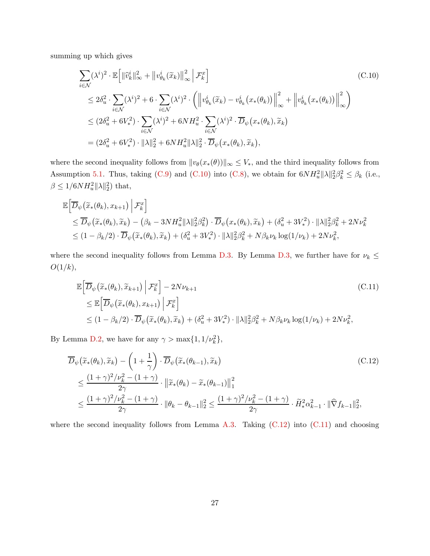summing up which gives

<span id="page-26-0"></span>
$$
\sum_{i \in \mathcal{N}} (\lambda^i)^2 \cdot \mathbb{E} \Big[ \|\widehat{v}_k^i\|_{\infty}^2 + \|v_{\theta_k}^i(\widetilde{x}_k)\|_{\infty}^2 \Big| \mathcal{F}_k^x \Big] \tag{C.10}
$$
\n
$$
\leq 2\delta_u^2 \cdot \sum_{i \in \mathcal{N}} (\lambda^i)^2 + 6 \cdot \sum_{i \in \mathcal{N}} (\lambda^i)^2 \cdot \left( \left\| v_{\theta_k}^i(\widetilde{x}_k) - v_{\theta_k}^i(x_*(\theta_k)) \right\|_{\infty}^2 + \left\| v_{\theta_k}^i(x_*(\theta_k)) \right\|_{\infty}^2 \right)
$$
\n
$$
\leq (2\delta_u^2 + 6V_*^2) \cdot \sum_{i \in \mathcal{N}} (\lambda^i)^2 + 6NH_u^2 \cdot \sum_{i \in \mathcal{N}} (\lambda^i)^2 \cdot \overline{D}_{\psi}(x_*(\theta_k), \widetilde{x}_k)
$$
\n
$$
= (2\delta_u^2 + 6V_*^2) \cdot \|\lambda\|_2^2 + 6NH_u^2 \|\lambda\|_2^2 \cdot \overline{D}_{\psi}(x_*(\theta_k), \widetilde{x}_k),
$$

where the second inequality follows from  $||v_{\theta}(x*(\theta))||_{\infty} \leq V_{*}$ , and the third inequality follows from Assumption [5.1.](#page-9-0) Thus, taking [\(C.9\)](#page-25-1) and [\(C.10\)](#page-26-0) into [\(C.8\)](#page-25-2), we obtain for  $6NH_u^2\|\lambda\|_2^2\beta_k^2 \leq \beta_k$  (i.e.,  $\beta \leq 1/6NH_u^2\|\lambda\|_2^2$  that,

$$
\mathbb{E}\Big[\overline{D}_{\psi}\big(\widetilde{x}_{*}(\theta_{k}), x_{k+1}\big) \Big| \mathcal{F}_{k}^{x}\Big] \n\leq \overline{D}_{\psi}\big(\widetilde{x}_{*}(\theta_{k}), \widetilde{x}_{k}\big) - \big(\beta_{k} - 3NH_{u}^{2}\|\lambda\|_{2}^{2}\beta_{k}^{2}\big) \cdot \overline{D}_{\psi}\big(x_{*}(\theta_{k}), \widetilde{x}_{k}\big) + \big(\delta_{u}^{2} + 3V_{*}^{2}\big) \cdot \|\lambda\|_{2}^{2}\beta_{k}^{2} + 2N\nu_{k}^{2} \n\leq (1 - \beta_{k}/2) \cdot \overline{D}_{\psi}\big(\widetilde{x}_{*}(\theta_{k}), \widetilde{x}_{k}\big) + \big(\delta_{u}^{2} + 3V_{*}^{2}\big) \cdot \|\lambda\|_{2}^{2}\beta_{k}^{2} + N\beta_{k}\nu_{k}\log(1/\nu_{k}) + 2N\nu_{k}^{2},
$$

where the second inequality follows from Lemma [D.3.](#page-29-0) By Lemma [D.3,](#page-29-0) we further have for  $\nu_k \leq$  $O(1/k),$ 

<span id="page-26-2"></span><span id="page-26-1"></span>
$$
\mathbb{E}\Big[\overline{D}_{\psi}\big(\widetilde{x}_{*}(\theta_{k}), \widetilde{x}_{k+1}\big) \Big| \mathcal{F}_{k}^{x}\Big] - 2N\nu_{k+1}
$$
\n
$$
\leq \mathbb{E}\Big[\overline{D}_{\psi}\big(\widetilde{x}_{*}(\theta_{k}), x_{k+1}\big) \Big| \mathcal{F}_{k}^{x}\Big]
$$
\n
$$
\leq (1 - \beta_{k}/2) \cdot \overline{D}_{\psi}\big(\widetilde{x}_{*}(\theta_{k}), \widetilde{x}_{k}\big) + (\delta_{u}^{2} + 3V_{*}^{2}) \cdot \|\lambda\|_{2}^{2} \beta_{k}^{2} + N\beta_{k}\nu_{k} \log(1/\nu_{k}) + 2N\nu_{k}^{2},
$$
\n(C.11)

By Lemma [D.2,](#page-29-1) we have for any  $\gamma > \max\{1, 1/\nu_k^2\}$ ,

$$
\overline{D}_{\psi}\left(\widetilde{x}_{*}(\theta_{k}),\widetilde{x}_{k}\right) - \left(1 + \frac{1}{\gamma}\right) \cdot \overline{D}_{\psi}\left(\widetilde{x}_{*}(\theta_{k-1}),\widetilde{x}_{k}\right) \tag{C.12}
$$
\n
$$
\leq \frac{(1+\gamma)^{2}/\nu_{k}^{2} - (1+\gamma)}{2\gamma} \cdot \left\|\widetilde{x}_{*}(\theta_{k}) - \widetilde{x}_{*}(\theta_{k-1})\right\|_{1}^{2}
$$
\n
$$
\leq \frac{(1+\gamma)^{2}/\nu_{k}^{2} - (1+\gamma)}{2\gamma} \cdot \left\|\theta_{k} - \theta_{k-1}\right\|_{2}^{2} \leq \frac{(1+\gamma)^{2}/\nu_{k}^{2} - (1+\gamma)}{2\gamma} \cdot \widetilde{H}_{*}^{2} \alpha_{k-1}^{2} \cdot \left\|\widehat{\nabla}f_{k-1}\right\|_{2}^{2},
$$

where the second inequality follows from Lemma [A.3.](#page-16-2) Taking  $(C.12)$  into  $(C.11)$  and choosing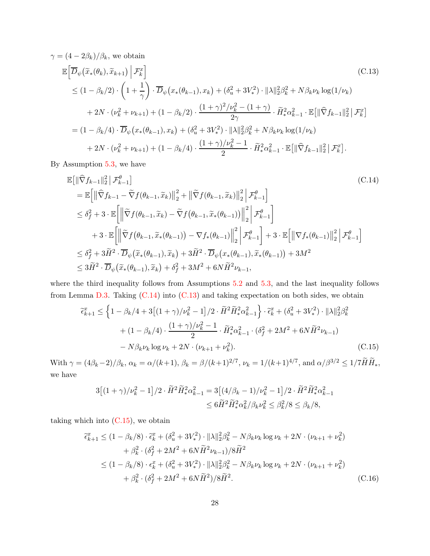<span id="page-27-1"></span>
$$
\gamma = (4 - 2\beta_k)/\beta_k, \text{ we obtain}
$$
\n
$$
\mathbb{E}\Big[\overline{D}_{\psi}\big(\tilde{x}_{*}(\theta_{k}), \tilde{x}_{k+1}\big) \Big| \mathcal{F}_{k}^{x}\Big] \tag{C.13}
$$
\n
$$
\leq (1 - \beta_k/2) \cdot \left(1 + \frac{1}{\gamma}\right) \cdot \overline{D}_{\psi}\big(x_{*}(\theta_{k-1}), x_{k}\big) + (\delta_{u}^{2} + 3V_{*}^{2}) \cdot \|\lambda\|_{2}^{2} \beta_{k}^{2} + N \beta_{k} \nu_{k} \log(1/\nu_{k}) + 2N \cdot (\nu_{k}^{2} + \nu_{k+1}) + (1 - \beta_{k}/2) \cdot \frac{(1 + \gamma)^{2}/\nu_{k}^{2} - (1 + \gamma)}{2\gamma} \cdot \widetilde{H}_{*}^{2} \alpha_{k-1}^{2} \cdot \mathbb{E}\big[\|\widehat{\nabla} f_{k-1}\|_{2}^{2}\big| \mathcal{F}_{k}^{x}\big]
$$
\n
$$
= (1 - \beta_k/4) \cdot \overline{D}_{\psi}\big(x_{*}(\theta_{k-1}), x_{k}\big) + (\delta_{u}^{2} + 3V_{*}^{2}) \cdot \|\lambda\|_{2}^{2} \beta_{k}^{2} + N \beta_{k} \nu_{k} \log(1/\nu_{k}) + 2N \cdot (\nu_{k}^{2} + \nu_{k+1}) + (1 - \beta_{k}/4) \cdot \frac{(1 + \gamma)/\nu_{k}^{2} - 1}{2} \cdot \widetilde{H}_{*}^{2} \alpha_{k-1}^{2} \cdot \mathbb{E}\big[\|\widehat{\nabla} f_{k-1}\|_{2}^{2}\big| \mathcal{F}_{k}^{x}\big].
$$

By Assumption [5.3,](#page-9-2) we have

<span id="page-27-0"></span>
$$
\mathbb{E}\left[\|\widehat{\nabla}f_{k-1}\|_{2}^{2}\right|\mathcal{F}_{k-1}^{\theta}\right]
$$
\n
$$
= \mathbb{E}\left[\|\widehat{\nabla}f_{k-1}-\widetilde{\nabla}f(\theta_{k-1},\widetilde{x}_{k})\|_{2}^{2} + \|\widetilde{\nabla}f(\theta_{k-1},\widetilde{x}_{k})\|_{2}^{2}\right|\mathcal{F}_{k-1}^{\theta}\right]
$$
\n
$$
\leq \delta_{f}^{2} + 3 \cdot \mathbb{E}\left[\left\|\widetilde{\nabla}f(\theta_{k-1},\widetilde{x}_{k})-\widetilde{\nabla}f(\theta_{k-1},\widetilde{x}_{k}(\theta_{k-1}))\right\|_{2}^{2}\right|\mathcal{F}_{k-1}^{\theta}\right]
$$
\n
$$
+ 3 \cdot \mathbb{E}\left[\left\|\widetilde{\nabla}f(\theta_{k-1},\widetilde{x}_{k}(\theta_{k-1}))-\nabla f_{k}(\theta_{k-1})\right\|_{2}^{2}\right|\mathcal{F}_{k-1}^{\theta}\right]
$$
\n
$$
\leq \delta_{f}^{2} + 3\widetilde{H}^{2} \cdot \overline{D}_{\psi}(\widetilde{x}_{k}(\theta_{k-1}),\widetilde{x}_{k}) + 3\widetilde{H}^{2} \cdot \overline{D}_{\psi}(x_{k}(\theta_{k-1}),\widetilde{x}_{k}(\theta_{k-1})) + 3M^{2}
$$
\n
$$
\leq 3\widetilde{H}^{2} \cdot \overline{D}_{\psi}(\widetilde{x}_{k}(\theta_{k-1}),\widetilde{x}_{k}) + \delta_{f}^{2} + 3M^{2} + 6N\widetilde{H}^{2}\nu_{k-1},
$$
\n(11.11)

where the third inequality follows from Assumptions [5.2](#page-9-1) and [5.3,](#page-9-2) and the last inequality follows from Lemma [D.3.](#page-29-0) Taking  $(C.14)$  into  $(C.13)$  and taking expectation on both sides, we obtain

$$
\tilde{\epsilon}_{k+1}^{x} \leq \left\{ 1 - \beta_{k}/4 + 3\left[ (1+\gamma)/\nu_{k}^{2} - 1 \right] / 2 \cdot \tilde{H}^{2} \tilde{H}_{*}^{2} \alpha_{k-1}^{2} \right\} \cdot \tilde{\epsilon}_{k}^{x} + (\delta_{u}^{2} + 3V_{*}^{2}) \cdot ||\lambda||_{2}^{2} \beta_{k}^{2} + (1 - \beta_{k}/4) \cdot \frac{(1+\gamma)/\nu_{k}^{2} - 1}{2} \cdot \tilde{H}_{*}^{2} \alpha_{k-1}^{2} \cdot (\delta_{f}^{2} + 2M^{2} + 6N \tilde{H}^{2} \nu_{k-1}) - N \beta_{k} \nu_{k} \log \nu_{k} + 2N \cdot (\nu_{k+1} + \nu_{k}^{2}). \tag{C.15}
$$

With  $\gamma = (4\beta_k - 2)/\beta_k$ ,  $\alpha_k = \alpha/(k+1)$ ,  $\beta_k = \beta/(k+1)^{2/7}$ ,  $\nu_k = 1/(k+1)^{4/7}$ , and  $\alpha/\beta^{3/2} \le 1/7\widetilde{H}\widetilde{H}_*,$ we have

<span id="page-27-3"></span><span id="page-27-2"></span>
$$
3[(1+\gamma)/\nu_k^2 - 1]/2 \cdot \widetilde{H}^2 \widetilde{H}_*^2 \alpha_{k-1}^2 = 3[(4/\beta_k - 1)/\nu_k^2 - 1]/2 \cdot \widetilde{H}^2 \widetilde{H}_*^2 \alpha_{k-1}^2
$$
  

$$
\leq 6 \widetilde{H}^2 \widetilde{H}_*^2 \alpha_k^2 / \beta_k \nu_k^2 \leq \beta_k^2 / 8 \leq \beta_k / 8,
$$

taking which into  $(C.15)$ , we obtain

$$
\tilde{\epsilon}_{k+1}^{x} \leq (1 - \beta_{k}/8) \cdot \tilde{\epsilon}_{k}^{x} + (\delta_{u}^{2} + 3V_{*}^{2}) \cdot ||\lambda||_{2}^{2} \beta_{k}^{2} - N \beta_{k} \nu_{k} \log \nu_{k} + 2N \cdot (\nu_{k+1} + \nu_{k}^{2}) \n+ \beta_{k}^{2} \cdot (\delta_{f}^{2} + 2M^{2} + 6N \tilde{H}^{2} \nu_{k-1}) / 8 \tilde{H}^{2} \n\leq (1 - \beta_{k}/8) \cdot \epsilon_{k}^{x} + (\delta_{u}^{2} + 3V_{*}^{2}) \cdot ||\lambda||_{2}^{2} \beta_{k}^{2} - N \beta_{k} \nu_{k} \log \nu_{k} + 2N \cdot (\nu_{k+1} + \nu_{k}^{2}) \n+ \beta_{k}^{2} \cdot (\delta_{f}^{2} + 2M^{2} + 6N \tilde{H}^{2}) / 8 \tilde{H}^{2}.
$$
\n(C.16)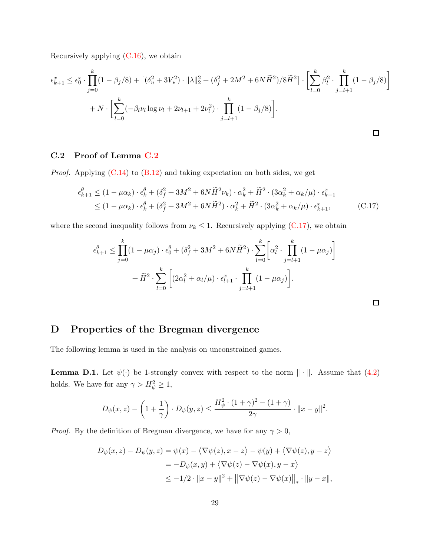Recursively applying  $(C.16)$ , we obtain

$$
\epsilon_{k+1}^x \le \epsilon_0^x \cdot \prod_{j=0}^k (1 - \beta_j/8) + \left[ (\delta_u^2 + 3V_*^2) \cdot \|\lambda\|_2^2 + (\delta_f^2 + 2M^2 + 6N\tilde{H}^2)/8\tilde{H}^2 \right] \cdot \left[ \sum_{l=0}^k \beta_l^2 \cdot \prod_{j=l+1}^k (1 - \beta_j/8) \right] + N \cdot \left[ \sum_{l=0}^k (-\beta_l \nu_l \log \nu_l + 2\nu_{l+1} + 2\nu_l^2) \cdot \prod_{j=l+1}^k (1 - \beta_j/8) \right].
$$

### <span id="page-28-1"></span>C.2 Proof of Lemma [C.2](#page-23-2)

*Proof.* Applying  $(C.14)$  to  $(B.12)$  and taking expectation on both sides, we get

$$
\epsilon_{k+1}^{\theta} \le (1 - \mu \alpha_k) \cdot \epsilon_k^{\theta} + (\delta_f^2 + 3M^2 + 6N \tilde{H}^2 \nu_k) \cdot \alpha_k^2 + \tilde{H}^2 \cdot (3\alpha_k^2 + \alpha_k/\mu) \cdot \epsilon_{k+1}^x
$$
  

$$
\le (1 - \mu \alpha_k) \cdot \epsilon_k^{\theta} + (\delta_f^2 + 3M^2 + 6N \tilde{H}^2) \cdot \alpha_k^2 + \tilde{H}^2 \cdot (3\alpha_k^2 + \alpha_k/\mu) \cdot \epsilon_{k+1}^x, \tag{C.17}
$$

where the second inequality follows from  $\nu_k \leq 1$ . Recursively applying [\(C.17\)](#page-28-2), we obtain

$$
\epsilon_{k+1}^{\theta} \le \prod_{j=0}^{k} (1 - \mu \alpha_j) \cdot \epsilon_0^{\theta} + (\delta_f^2 + 3M^2 + 6N\tilde{H}^2) \cdot \sum_{l=0}^{k} \left[ \alpha_l^2 \cdot \prod_{j=l+1}^{k} (1 - \mu \alpha_j) \right] + \tilde{H}^2 \cdot \sum_{l=0}^{k} \left[ (2\alpha_l^2 + \alpha_l/\mu) \cdot \epsilon_{l+1}^x \cdot \prod_{j=l+1}^{k} (1 - \mu \alpha_j) \right].
$$

<span id="page-28-2"></span> $\Box$ 

# D Properties of the Bregman divergence

<span id="page-28-0"></span>The following lemma is used in the analysis on unconstrained games.

**Lemma D.1.** Let  $\psi(\cdot)$  be 1-strongly convex with respect to the norm  $\|\cdot\|$ . Assume that [\(4.2\)](#page-6-0) holds. We have for any  $\gamma > H_{\psi}^2 \geq 1$ ,

$$
D_{\psi}(x,z) - \left(1 + \frac{1}{\gamma}\right) \cdot D_{\psi}(y,z) \le \frac{H_{\psi}^2 \cdot (1+\gamma)^2 - (1+\gamma)}{2\gamma} \cdot ||x - y||^2.
$$

*Proof.* By the definition of Bregman divergence, we have for any  $\gamma > 0$ ,

$$
D_{\psi}(x, z) - D_{\psi}(y, z) = \psi(x) - \langle \nabla \psi(z), x - z \rangle - \psi(y) + \langle \nabla \psi(z), y - z \rangle
$$
  
= 
$$
-D_{\psi}(x, y) + \langle \nabla \psi(z) - \nabla \psi(x), y - x \rangle
$$
  

$$
\leq -1/2 \cdot ||x - y||^2 + ||\nabla \psi(z) - \nabla \psi(x)||_* \cdot ||y - x||,
$$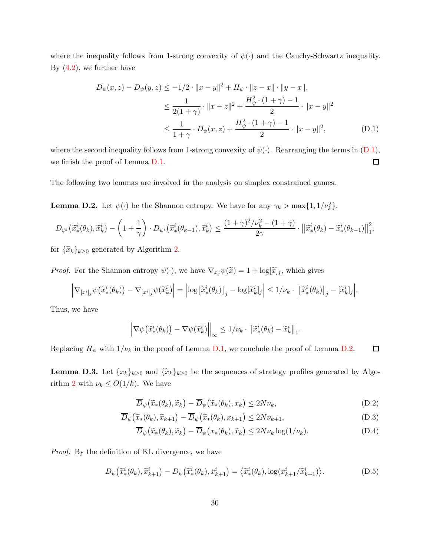where the inequality follows from 1-strong convexity of  $\psi(\cdot)$  and the Cauchy-Schwartz inequality. By  $(4.2)$ , we further have

<span id="page-29-2"></span>
$$
D_{\psi}(x, z) - D_{\psi}(y, z) \le -1/2 \cdot ||x - y||^2 + H_{\psi} \cdot ||z - x|| \cdot ||y - x||,
$$
  
\n
$$
\le \frac{1}{2(1 + \gamma)} \cdot ||x - z||^2 + \frac{H_{\psi}^2 \cdot (1 + \gamma) - 1}{2} \cdot ||x - y||^2
$$
  
\n
$$
\le \frac{1}{1 + \gamma} \cdot D_{\psi}(x, z) + \frac{H_{\psi}^2 \cdot (1 + \gamma) - 1}{2} \cdot ||x - y||^2,
$$
 (D.1)

where the second inequality follows from 1-strong convexity of  $\psi(\cdot)$ . Rearranging the terms in  $(D.1)$ , we finish the proof of Lemma [D.1.](#page-28-0)  $\Box$ 

<span id="page-29-1"></span>The following two lemmas are involved in the analysis on simplex constrained games.

**Lemma D.2.** Let  $\psi(\cdot)$  be the Shannon entropy. We have for any  $\gamma_k > \max\{1, 1/\nu_k^2\}$ ,

$$
D_{\psi^i}(\widetilde{x}^i_*(\theta_k), \widetilde{x}^i_k) - \left(1 + \frac{1}{\gamma}\right) \cdot D_{\psi^i}(\widetilde{x}^i_*(\theta_{k-1}), \widetilde{x}^i_k) \le \frac{(1+\gamma)^2/\nu_k^2 - (1+\gamma)}{2\gamma} \cdot \left\|\widetilde{x}^i_*(\theta_k) - \widetilde{x}^i_*(\theta_{k-1})\right\|_1^2,
$$

for  $\{\widetilde{x}_k\}_{k\geq 0}$  generated by Algorithm [2.](#page-8-2)

*Proof.* For the Shannon entropy  $\psi(\cdot)$ , we have  $\nabla_{x_j}\psi(\tilde{x}) = 1 + \log[\tilde{x}]_j$ , which gives

$$
\left|\nabla_{[x^i]_j}\psi(\widetilde{x}^i_*(\theta_k)) - \nabla_{[x^i]_j}\psi(\widetilde{x}^i_k)\right| = \left|\log\left[\widetilde{x}^i_*(\theta_k)\right]_j - \log\left[\widetilde{x}^i_k\right]_j\right| \leq 1/\nu_k \cdot \left|\left[\widetilde{x}^i_*(\theta_k)\right]_j - \left[\widetilde{x}^i_k\right]_j\right|.
$$

Thus, we have

$$
\left\|\nabla\psi\big(\widetilde{x}^i_*(\theta_k)\big)-\nabla\psi(\widetilde{x}^i_k)\right\|_{\infty}\leq 1/\nu_k\cdot\left\|\widetilde{x}^i_*(\theta_k)-\widetilde{x}^i_k\right\|_1.
$$

<span id="page-29-0"></span>Replacing  $H_{\psi}$  with  $1/\nu_k$  in the proof of Lemma [D.1,](#page-28-0) we conclude the proof of Lemma [D.2.](#page-29-1)  $\Box$ 

**Lemma D.3.** Let  $\{x_k\}_{k\geq 0}$  and  $\{\tilde{x}_k\}_{k\geq 0}$  be the sequences of strategy profiles generated by Algo-rithm [2](#page-8-2) with  $\nu_k \leq O(1/k)$ . We have

$$
\overline{D}_{\psi}(\widetilde{x}_{*}(\theta_{k}), \widetilde{x}_{k}) - \overline{D}_{\psi}(\widetilde{x}_{*}(\theta_{k}), x_{k}) \le 2N\nu_{k},
$$
\n(D.2)

$$
\overline{D}_{\psi}(\widetilde{x}_{*}(\theta_{k}), \widetilde{x}_{k+1}) - \overline{D}_{\psi}(\widetilde{x}_{*}(\theta_{k}), x_{k+1}) \le 2N\nu_{k+1},\tag{D.3}
$$

<span id="page-29-6"></span><span id="page-29-5"></span><span id="page-29-4"></span><span id="page-29-3"></span>
$$
\overline{D}_{\psi}(\widetilde{x}_{*}(\theta_{k}), \widetilde{x}_{k}) - \overline{D}_{\psi}(x_{*}(\theta_{k}), \widetilde{x}_{k}) \le 2N\nu_{k}\log(1/\nu_{k}).
$$
\n(D.4)

Proof. By the definition of KL divergence, we have

$$
D_{\psi}\big(\tilde{x}^i_*(\theta_k), \tilde{x}^i_{k+1}\big) - D_{\psi}\big(\tilde{x}^i_*(\theta_k), x^i_{k+1}\big) = \big\langle \tilde{x}^i_*(\theta_k), \log(x^i_{k+1}/\tilde{x}^i_{k+1}) \big\rangle. \tag{D.5}
$$